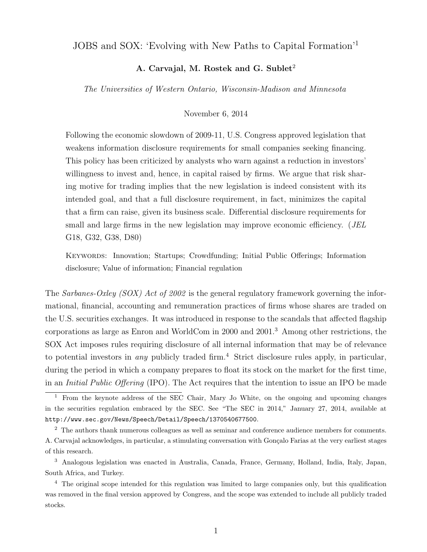# JOBS and SOX: 'Evolving with New Paths to Capital Formation'<sup>1</sup>

# A. Carvajal, M. Rostek and G. Sublet<sup>2</sup>

The Universities of Western Ontario, Wisconsin-Madison and Minnesota

#### November 6, 2014

Following the economic slowdown of 2009-11, U.S. Congress approved legislation that weakens information disclosure requirements for small companies seeking financing. This policy has been criticized by analysts who warn against a reduction in investors' willingness to invest and, hence, in capital raised by firms. We argue that risk sharing motive for trading implies that the new legislation is indeed consistent with its intended goal, and that a full disclosure requirement, in fact, minimizes the capital that a firm can raise, given its business scale. Differential disclosure requirements for small and large firms in the new legislation may improve economic efficiency. (*JEL* G18, G32, G38, D80)

Keywords: Innovation; Startups; Crowdfunding; Initial Public Offerings; Information disclosure; Value of information; Financial regulation

The Sarbanes-Oxley (SOX) Act of 2002 is the general regulatory framework governing the informational, financial, accounting and remuneration practices of firms whose shares are traded on the U.S. securities exchanges. It was introduced in response to the scandals that affected flagship corporations as large as Enron and WorldCom in 2000 and 2001.<sup>3</sup> Among other restrictions, the SOX Act imposes rules requiring disclosure of all internal information that may be of relevance to potential investors in *any* publicly traded firm.<sup>4</sup> Strict disclosure rules apply, in particular, during the period in which a company prepares to float its stock on the market for the first time, in an Initial Public Offering (IPO). The Act requires that the intention to issue an IPO be made

<sup>3</sup> Analogous legislation was enacted in Australia, Canada, France, Germany, Holland, India, Italy, Japan, South Africa, and Turkey.

<sup>4</sup> The original scope intended for this regulation was limited to large companies only, but this qualification was removed in the final version approved by Congress, and the scope was extended to include all publicly traded stocks.

<sup>&</sup>lt;sup>1</sup> From the keynote address of the SEC Chair, Mary Jo White, on the ongoing and upcoming changes in the securities regulation embraced by the SEC. See "The SEC in 2014," January 27, 2014, available at http://www.sec.gov/News/Speech/Detail/Speech/1370540677500.

<sup>&</sup>lt;sup>2</sup> The authors thank numerous colleagues as well as seminar and conference audience members for comments. A. Carvajal acknowledges, in particular, a stimulating conversation with Gonçalo Farias at the very earliest stages of this research.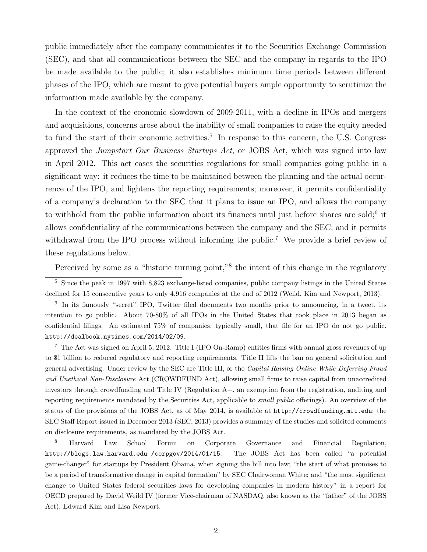public immediately after the company communicates it to the Securities Exchange Commission (SEC), and that all communications between the SEC and the company in regards to the IPO be made available to the public; it also establishes minimum time periods between different phases of the IPO, which are meant to give potential buyers ample opportunity to scrutinize the information made available by the company.

In the context of the economic slowdown of 2009-2011, with a decline in IPOs and mergers and acquisitions, concerns arose about the inability of small companies to raise the equity needed to fund the start of their economic activities.<sup>5</sup> In response to this concern, the U.S. Congress approved the *Jumpstart Our Business Startups Act*, or JOBS Act, which was signed into law in April 2012. This act eases the securities regulations for small companies going public in a significant way: it reduces the time to be maintained between the planning and the actual occurrence of the IPO, and lightens the reporting requirements; moreover, it permits confidentiality of a company's declaration to the SEC that it plans to issue an IPO, and allows the company to withhold from the public information about its finances until just before shares are sold;<sup>6</sup> it allows confidentiality of the communications between the company and the SEC; and it permits withdrawal from the IPO process without informing the public.<sup>7</sup> We provide a brief review of these regulations below.

Perceived by some as a "historic turning point,"<sup>8</sup> the intent of this change in the regulatory

<sup>5</sup> Since the peak in 1997 with 8,823 exchange-listed companies, public company listings in the United States declined for 15 consecutive years to only 4,916 companies at the end of 2012 (Weild, Kim and Newport, 2013).

6 In its famously "secret" IPO, Twitter filed documents two months prior to announcing, in a tweet, its intention to go public. About 70-80% of all IPOs in the United States that took place in 2013 began as confidential filings. An estimated 75% of companies, typically small, that file for an IPO do not go public. http://dealbook.nytimes.com/2014/02/09.

<sup>7</sup> The Act was signed on April 5, 2012. Title I (IPO On-Ramp) entitles firms with annual gross revenues of up to \$1 billion to reduced regulatory and reporting requirements. Title II lifts the ban on general solicitation and general advertising. Under review by the SEC are Title III, or the Capital Raising Online While Deferring Fraud and Unethical Non-Disclosure Act (CROWDFUND Act), allowing small firms to raise capital from unaccredited investors through crowdfunding and Title IV (Regulation A+, an exemption from the registration, auditing and reporting requirements mandated by the Securities Act, applicable to *small public* offerings). An overview of the status of the provisions of the JOBS Act, as of May 2014, is available at http://crowdfunding.mit.edu; the SEC Staff Report issued in December 2013 (SEC, 2013) provides a summary of the studies and solicited comments on disclosure requirements, as mandated by the JOBS Act.

<sup>8</sup> Harvard Law School Forum on Corporate Governance and Financial Regulation, http://blogs.law.harvard.edu /corpgov/2014/01/15. The JOBS Act has been called "a potential game-changer" for startups by President Obama, when signing the bill into law; "the start of what promises to be a period of transformative change in capital formation" by SEC Chairwoman White; and "the most significant change to United States federal securities laws for developing companies in modern history" in a report for OECD prepared by David Weild IV (former Vice-chairman of NASDAQ, also known as the "father" of the JOBS Act), Edward Kim and Lisa Newport.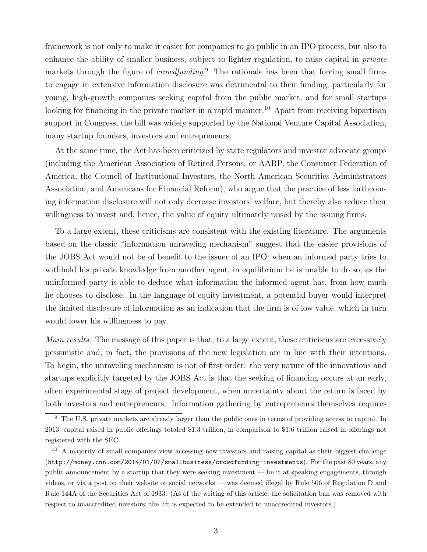framework is not only to make it easier for companies to go public in an IPO process, but also to enhance the ability of smaller business, subject to lighter regulation, to raise capital in *private* markets through the figure of *crowdfunding*.<sup>9</sup> The rationale has been that forcing small firms to engage in extensive information disclosure was detrimental to their funding, particularly for young, high-growth companies seeking capital from the public market, and for small startups looking for financing in the private market in a rapid manner.<sup>10</sup> Apart from receiving bipartisan support in Congress, the bill was widely supported by the National Venture Capital Association, many startup founders, investors and entrepreneurs.

At the same time, the Act has been criticized by state regulators and investor advocate groups (including the American Association of Retired Persons, or AARP, the Consumer Federation of America, the Council of Institutional Investors, the North American Securities Administrators Association, and Americans for Financial Reform), who argue that the practice of less forthcoming information disclosure will not only decrease investors' welfare, but thereby also reduce their willingness to invest and, hence, the value of equity ultimately raised by the issuing firms.

To a large extent, these criticisms are consistent with the existing literature. The arguments based on the classic "information unraveling mechanism" suggest that the easier provisions of the JOBS Act would not be of benefit to the issuer of an IPO: when an informed party tries to withhold his private knowledge from another agent, in equilibrium he is unable to do so, as the uninformed party is able to deduce what information the informed agent has, from how much he chooses to disclose. In the language of equity investment, a potential buyer would interpret the limited disclosure of information as an indication that the firm is of low value, which in turn would lower his willingness to pay.

Main results: The message of this paper is that, to a large extent, these criticisms are excessively pessimistic and, in fact, the provisions of the new legislation are in line with their intentions. To begin, the unraveling mechanism is not of first order: the very nature of the innovations and startups explicitly targeted by the JOBS Act is that the seeking of financing occurs at an early, often experimental stage of project development, when uncertainty about the return is faced by both investors and entrepreneurs. Information gathering by entrepreneurs themselves requires

<sup>&</sup>lt;sup>9</sup> The U.S. private markets are already larger than the public ones in terms of providing access to capital. In 2013, capital raised in public offerings totaled \$1.3 trillion, in comparison to \$1.6 trillion raised in offerings not registered with the SEC.

<sup>10</sup> A majority of small companies view accessing new investors and raising capital as their biggest challenge (http://money.cnn.com/2014/01/07/smallbusiness/crowdfunding-investments). For the past 80 years, any public announcement by a startup that they were seeking investment — be it at speaking engagements, through videos, or via a post on their website or social networks — was deemed illegal by Rule 506 of Regulation D and Rule 144A of the Securities Act of 1933. (As of the writing of this article, the solicitation ban was removed with respect to unaccredited investors; the lift is expected to be extended to unaccredited investors.)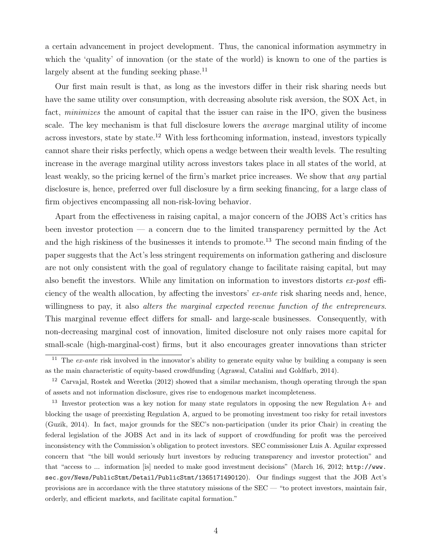a certain advancement in project development. Thus, the canonical information asymmetry in which the 'quality' of innovation (or the state of the world) is known to one of the parties is largely absent at the funding seeking phase. $^{11}$ 

Our first main result is that, as long as the investors differ in their risk sharing needs but have the same utility over consumption, with decreasing absolute risk aversion, the SOX Act, in fact, *minimizes* the amount of capital that the issuer can raise in the IPO, given the business scale. The key mechanism is that full disclosure lowers the *average* marginal utility of income across investors, state by state.<sup>12</sup> With less forthcoming information, instead, investors typically cannot share their risks perfectly, which opens a wedge between their wealth levels. The resulting increase in the average marginal utility across investors takes place in all states of the world, at least weakly, so the pricing kernel of the firm's market price increases. We show that any partial disclosure is, hence, preferred over full disclosure by a firm seeking financing, for a large class of firm objectives encompassing all non-risk-loving behavior.

Apart from the effectiveness in raising capital, a major concern of the JOBS Act's critics has been investor protection — a concern due to the limited transparency permitted by the Act and the high riskiness of the businesses it intends to promote.<sup>13</sup> The second main finding of the paper suggests that the Act's less stringent requirements on information gathering and disclosure are not only consistent with the goal of regulatory change to facilitate raising capital, but may also benefit the investors. While any limitation on information to investors distorts ex-post efficiency of the wealth allocation, by affecting the investors'  $ex$ -ante risk sharing needs and, hence, willingness to pay, it also alters the marginal expected revenue function of the entrepreneurs. This marginal revenue effect differs for small- and large-scale businesses. Consequently, with non-decreasing marginal cost of innovation, limited disclosure not only raises more capital for small-scale (high-marginal-cost) firms, but it also encourages greater innovations than stricter

<sup>&</sup>lt;sup>11</sup> The  $ex$ -ante risk involved in the innovator's ability to generate equity value by building a company is seen as the main characteristic of equity-based crowdfunding (Agrawal, Catalini and Goldfarb, 2014).

<sup>&</sup>lt;sup>12</sup> Carvajal, Rostek and Weretka (2012) showed that a similar mechanism, though operating through the span of assets and not information disclosure, gives rise to endogenous market incompleteness.

<sup>13</sup> Investor protection was a key notion for many state regulators in opposing the new Regulation A+ and blocking the usage of preexisting Regulation A, argued to be promoting investment too risky for retail investors (Guzik, 2014). In fact, major grounds for the SEC's non-participation (under its prior Chair) in creating the federal legislation of the JOBS Act and in its lack of support of crowdfunding for profit was the perceived inconsistency with the Commission's obligation to protect investors. SEC commissioner Luis A. Aguilar expressed concern that "the bill would seriously hurt investors by reducing transparency and investor protection" and that "access to ... information [is] needed to make good investment decisions" (March 16, 2012; http://www. sec.gov/News/PublicStmt/Detail/PublicStmt/1365171490120). Our findings suggest that the JOB Act's provisions are in accordance with the three statutory missions of the SEC — "to protect investors, maintain fair, orderly, and efficient markets, and facilitate capital formation."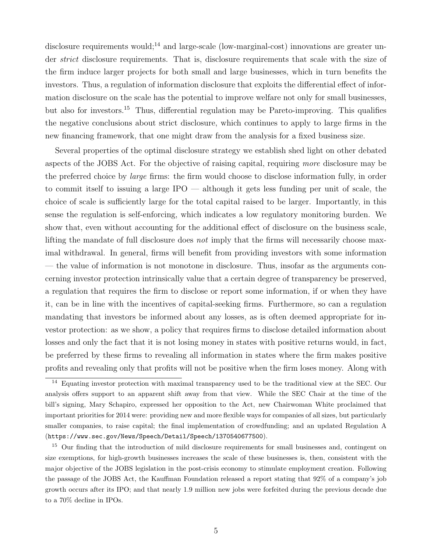disclosure requirements would;<sup>14</sup> and large-scale (low-marginal-cost) innovations are greater under *strict* disclosure requirements. That is, disclosure requirements that scale with the size of the firm induce larger projects for both small and large businesses, which in turn benefits the investors. Thus, a regulation of information disclosure that exploits the differential effect of information disclosure on the scale has the potential to improve welfare not only for small businesses, but also for investors.<sup>15</sup> Thus, differential regulation may be Pareto-improving. This qualifies the negative conclusions about strict disclosure, which continues to apply to large firms in the new financing framework, that one might draw from the analysis for a fixed business size.

Several properties of the optimal disclosure strategy we establish shed light on other debated aspects of the JOBS Act. For the objective of raising capital, requiring more disclosure may be the preferred choice by *large* firms: the firm would choose to disclose information fully, in order to commit itself to issuing a large IPO — although it gets less funding per unit of scale, the choice of scale is sufficiently large for the total capital raised to be larger. Importantly, in this sense the regulation is self-enforcing, which indicates a low regulatory monitoring burden. We show that, even without accounting for the additional effect of disclosure on the business scale, lifting the mandate of full disclosure does not imply that the firms will necessarily choose maximal withdrawal. In general, firms will benefit from providing investors with some information — the value of information is not monotone in disclosure. Thus, insofar as the arguments concerning investor protection intrinsically value that a certain degree of transparency be preserved, a regulation that requires the firm to disclose or report some information, if or when they have it, can be in line with the incentives of capital-seeking firms. Furthermore, so can a regulation mandating that investors be informed about any losses, as is often deemed appropriate for investor protection: as we show, a policy that requires firms to disclose detailed information about losses and only the fact that it is not losing money in states with positive returns would, in fact, be preferred by these firms to revealing all information in states where the firm makes positive profits and revealing only that profits will not be positive when the firm loses money. Along with

<sup>&</sup>lt;sup>14</sup> Equating investor protection with maximal transparency used to be the traditional view at the SEC. Our analysis offers support to an apparent shift away from that view. While the SEC Chair at the time of the bill's signing, Mary Schapiro, expressed her opposition to the Act, new Chairwoman White proclaimed that important priorities for 2014 were: providing new and more flexible ways for companies of all sizes, but particularly smaller companies, to raise capital; the final implementation of crowdfunding; and an updated Regulation A (https://www.sec.gov/News/Speech/Detail/Speech/1370540677500).

<sup>&</sup>lt;sup>15</sup> Our finding that the introduction of mild disclosure requirements for small businesses and, contingent on size exemptions, for high-growth businesses increases the scale of these businesses is, then, consistent with the major objective of the JOBS legislation in the post-crisis economy to stimulate employment creation. Following the passage of the JOBS Act, the Kauffman Foundation released a report stating that 92% of a company's job growth occurs after its IPO; and that nearly 1.9 million new jobs were forfeited during the previous decade due to a 70% decline in IPOs.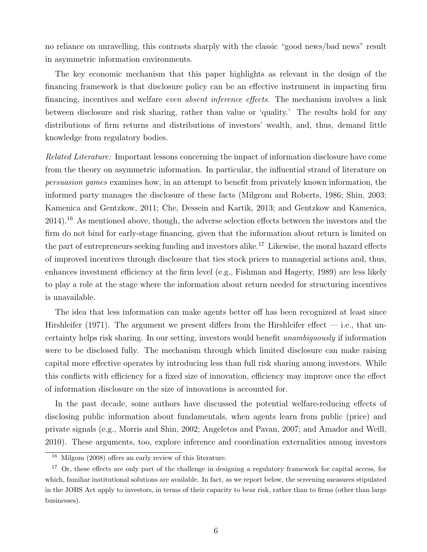no reliance on unravelling, this contrasts sharply with the classic "good news/bad news" result in asymmetric information environments.

The key economic mechanism that this paper highlights as relevant in the design of the financing framework is that disclosure policy can be an effective instrument in impacting firm financing, incentives and welfare *even absent inference effects*. The mechanism involves a link between disclosure and risk sharing, rather than value or 'quality.' The results hold for any distributions of firm returns and distributions of investors' wealth, and, thus, demand little knowledge from regulatory bodies.

Related Literature: Important lessons concerning the impact of information disclosure have come from the theory on asymmetric information. In particular, the influential strand of literature on persuasion games examines how, in an attempt to benefit from privately known information, the informed party manages the disclosure of these facts (Milgrom and Roberts, 1986; Shin, 2003; Kamenica and Gentzkow, 2011; Che, Dessein and Kartik, 2013; and Gentzkow and Kamenica, 2014).<sup>16</sup> As mentioned above, though, the adverse selection effects between the investors and the firm do not bind for early-stage financing, given that the information about return is limited on the part of entrepreneurs seeking funding and investors alike.<sup>17</sup> Likewise, the moral hazard effects of improved incentives through disclosure that ties stock prices to managerial actions and, thus, enhances investment efficiency at the firm level (e.g., Fishman and Hagerty, 1989) are less likely to play a role at the stage where the information about return needed for structuring incentives is unavailable.

The idea that less information can make agents better off has been recognized at least since Hirshleifer (1971). The argument we present differs from the Hirshleifer effect  $-$  i.e., that uncertainty helps risk sharing. In our setting, investors would benefit unambiguously if information were to be disclosed fully. The mechanism through which limited disclosure can make raising capital more effective operates by introducing less than full risk sharing among investors. While this conflicts with efficiency for a fixed size of innovation, efficiency may improve once the effect of information disclosure on the size of innovations is accounted for.

In the past decade, some authors have discussed the potential welfare-reducing effects of disclosing public information about fundamentals, when agents learn from public (price) and private signals (e.g., Morris and Shin, 2002; Angeletos and Pavan, 2007; and Amador and Weill, 2010). These arguments, too, explore inference and coordination externalities among investors

<sup>16</sup> Milgom (2008) offers an early review of this literature.

<sup>&</sup>lt;sup>17</sup> Or, these effects are only part of the challenge in designing a regulatory framework for capital access, for which, familiar institutional solutions are available. In fact, as we report below, the screening measures stipulated in the JOBS Act apply to investors, in terms of their capacity to bear risk, rather than to firms (other than large businesses).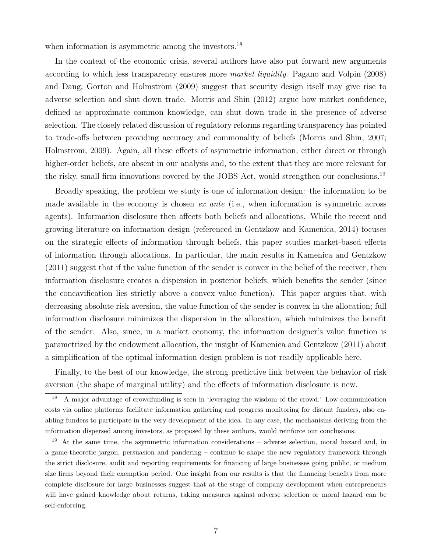when information is asymmetric among the investors.<sup>18</sup>

In the context of the economic crisis, several authors have also put forward new arguments according to which less transparency ensures more *market liquidity*. Pagano and Volpin (2008) and Dang, Gorton and Holmstrom (2009) suggest that security design itself may give rise to adverse selection and shut down trade. Morris and Shin (2012) argue how market confidence, defined as approximate common knowledge, can shut down trade in the presence of adverse selection. The closely related discussion of regulatory reforms regarding transparency has pointed to trade-offs between providing accuracy and commonality of beliefs (Morris and Shin, 2007; Holmstrom, 2009). Again, all these effects of asymmetric information, either direct or through higher-order beliefs, are absent in our analysis and, to the extent that they are more relevant for the risky, small firm innovations covered by the JOBS Act, would strengthen our conclusions.<sup>19</sup>

Broadly speaking, the problem we study is one of information design: the information to be made available in the economy is chosen ex ante (i.e., when information is symmetric across agents). Information disclosure then affects both beliefs and allocations. While the recent and growing literature on information design (referenced in Gentzkow and Kamenica, 2014) focuses on the strategic effects of information through beliefs, this paper studies market-based effects of information through allocations. In particular, the main results in Kamenica and Gentzkow (2011) suggest that if the value function of the sender is convex in the belief of the receiver, then information disclosure creates a dispersion in posterior beliefs, which benefits the sender (since the concavification lies strictly above a convex value function). This paper argues that, with decreasing absolute risk aversion, the value function of the sender is convex in the allocation; full information disclosure minimizes the dispersion in the allocation, which minimizes the benefit of the sender. Also, since, in a market economy, the information designer's value function is parametrized by the endowment allocation, the insight of Kamenica and Gentzkow (2011) about a simplification of the optimal information design problem is not readily applicable here.

Finally, to the best of our knowledge, the strong predictive link between the behavior of risk aversion (the shape of marginal utility) and the effects of information disclosure is new.

<sup>18</sup> A major advantage of crowdfunding is seen in 'leveraging the wisdom of the crowd.' Low communication costs via online platforms facilitate information gathering and progress monitoring for distant funders, also enabling funders to participate in the very development of the idea. In any case, the mechanisms deriving from the information dispersed among investors, as proposed by these authors, would reinforce our conclusions.

<sup>19</sup> At the same time, the asymmetric information considerations – adverse selection, moral hazard and, in a game-theoretic jargon, persuasion and pandering – continue to shape the new regulatory framework through the strict disclosure, audit and reporting requirements for financing of large businesses going public, or medium size firms beyond their exemption period. One insight from our results is that the financing benefits from more complete disclosure for large businesses suggest that at the stage of company development when entrepreneurs will have gained knowledge about returns, taking measures against adverse selection or moral hazard can be self-enforcing.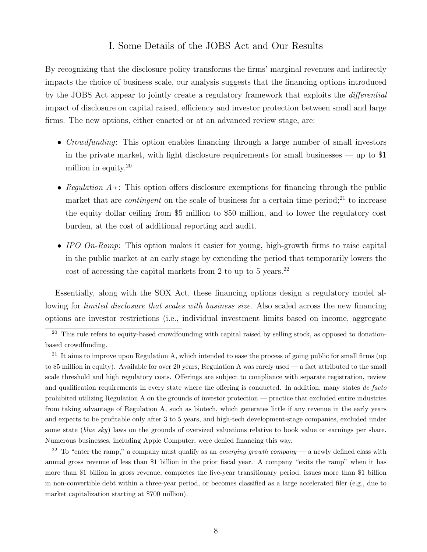# I. Some Details of the JOBS Act and Our Results

By recognizing that the disclosure policy transforms the firms' marginal revenues and indirectly impacts the choice of business scale, our analysis suggests that the financing options introduced by the JOBS Act appear to jointly create a regulatory framework that exploits the *differential* impact of disclosure on capital raised, efficiency and investor protection between small and large firms. The new options, either enacted or at an advanced review stage, are:

- Crowdfunding: This option enables financing through a large number of small investors in the private market, with light disclosure requirements for small businesses — up to \$1 million in equity.<sup>20</sup>
- Regulation  $A +$ : This option offers disclosure exemptions for financing through the public market that are *contingent* on the scale of business for a certain time period;<sup>21</sup> to increase the equity dollar ceiling from \$5 million to \$50 million, and to lower the regulatory cost burden, at the cost of additional reporting and audit.
- IPO  $On-Ramp:$  This option makes it easier for young, high-growth firms to raise capital in the public market at an early stage by extending the period that temporarily lowers the cost of accessing the capital markets from 2 to up to 5 years. $^{22}$

Essentially, along with the SOX Act, these financing options design a regulatory model allowing for *limited disclosure that scales with business size*. Also scaled across the new financing options are investor restrictions (i.e., individual investment limits based on income, aggregate

<sup>22</sup> To "enter the ramp," a company must qualify as an *emerging growth company* — a newly defined class with annual gross revenue of less than \$1 billion in the prior fiscal year. A company "exits the ramp" when it has more than \$1 billion in gross revenue, completes the five-year transitionary period, issues more than \$1 billion in non-convertible debt within a three-year period, or becomes classified as a large accelerated filer (e.g., due to market capitalization starting at \$700 million).

 $\frac{20}{20}$  This rule refers to equity-based crowdfounding with capital raised by selling stock, as opposed to donationbased crowdfunding.

<sup>&</sup>lt;sup>21</sup> It aims to improve upon Regulation A, which intended to ease the process of going public for small firms (up to \$5 million in equity). Available for over 20 years, Regulation A was rarely used — a fact attributed to the small scale threshold and high regulatory costs. Offerings are subject to compliance with separate registration, review and qualification requirements in every state where the offering is conducted. In addition, many states de facto prohibited utilizing Regulation A on the grounds of investor protection — practice that excluded entire industries from taking advantage of Regulation A, such as biotech, which generates little if any revenue in the early years and expects to be profitable only after 3 to 5 years, and high-tech development-stage companies, excluded under some state (blue sky) laws on the grounds of oversized valuations relative to book value or earnings per share. Numerous businesses, including Apple Computer, were denied financing this way.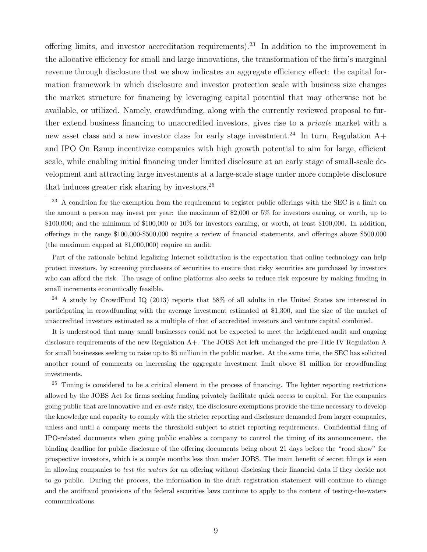offering limits, and investor accreditation requirements).<sup>23</sup> In addition to the improvement in the allocative efficiency for small and large innovations, the transformation of the firm's marginal revenue through disclosure that we show indicates an aggregate efficiency effect: the capital formation framework in which disclosure and investor protection scale with business size changes the market structure for financing by leveraging capital potential that may otherwise not be available, or utilized. Namely, crowdfunding, along with the currently reviewed proposal to further extend business financing to unaccredited investors, gives rise to a *private* market with a new asset class and a new investor class for early stage investment.<sup>24</sup> In turn, Regulation  $A+$ and IPO On Ramp incentivize companies with high growth potential to aim for large, efficient scale, while enabling initial financing under limited disclosure at an early stage of small-scale development and attracting large investments at a large-scale stage under more complete disclosure that induces greater risk sharing by investors.<sup>25</sup>

Part of the rationale behind legalizing Internet solicitation is the expectation that online technology can help protect investors, by screening purchasers of securities to ensure that risky securities are purchased by investors who can afford the risk. The usage of online platforms also seeks to reduce risk exposure by making funding in small increments economically feasible.

<sup>24</sup> A study by CrowdFund IQ (2013) reports that 58% of all adults in the United States are interested in participating in crowdfunding with the average investment estimated at \$1,300, and the size of the market of unaccredited investors estimated as a multiple of that of accredited investors and venture capital combined.

It is understood that many small businesses could not be expected to meet the heightened audit and ongoing disclosure requirements of the new Regulation A+. The JOBS Act left unchanged the pre-Title IV Regulation A for small businesses seeking to raise up to \$5 million in the public market. At the same time, the SEC has solicited another round of comments on increasing the aggregate investment limit above \$1 million for crowdfunding investments.

 $25$  Timing is considered to be a critical element in the process of financing. The lighter reporting restrictions allowed by the JOBS Act for firms seeking funding privately facilitate quick access to capital. For the companies going public that are innovative and  $ex$ -ante risky, the disclosure exemptions provide the time necessary to develop the knowledge and capacity to comply with the stricter reporting and disclosure demanded from larger companies, unless and until a company meets the threshold subject to strict reporting requirements. Confidential filing of IPO-related documents when going public enables a company to control the timing of its announcement, the binding deadline for public disclosure of the offering documents being about 21 days before the "road show" for prospective investors, which is a couple months less than under JOBS. The main benefit of secret filings is seen in allowing companies to test the waters for an offering without disclosing their financial data if they decide not to go public. During the process, the information in the draft registration statement will continue to change and the antifraud provisions of the federal securities laws continue to apply to the content of testing-the-waters communications.

<sup>&</sup>lt;sup>23</sup> A condition for the exemption from the requirement to register public offerings with the SEC is a limit on the amount a person may invest per year: the maximum of \$2,000 or 5% for investors earning, or worth, up to  $$100,000$ ; and the minimum of  $$100,000$  or  $10\%$  for investors earning, or worth, at least  $$100,000$ . In addition, offerings in the range \$100,000-\$500,000 require a review of financial statements, and offerings above \$500,000 (the maximum capped at \$1,000,000) require an audit.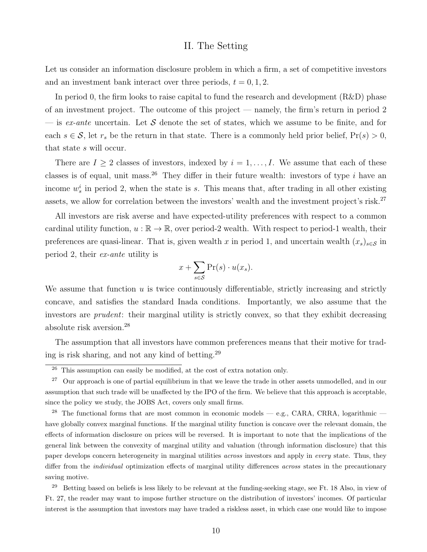### II. The Setting

Let us consider an information disclosure problem in which a firm, a set of competitive investors and an investment bank interact over three periods,  $t = 0, 1, 2$ .

In period 0, the firm looks to raise capital to fund the research and development  $(R\&D)$  phase of an investment project. The outcome of this project — namely, the firm's return in period 2 — is ex-ante uncertain. Let S denote the set of states, which we assume to be finite, and for each  $s \in \mathcal{S}$ , let  $r_s$  be the return in that state. There is a commonly held prior belief,  $Pr(s) > 0$ , that state s will occur.

There are  $I \geq 2$  classes of investors, indexed by  $i = 1, \ldots, I$ . We assume that each of these classes is of equal, unit mass.<sup>26</sup> They differ in their future wealth: investors of type i have an income  $w_s^i$  in period 2, when the state is s. This means that, after trading in all other existing assets, we allow for correlation between the investors' wealth and the investment project's risk.<sup>27</sup>

All investors are risk averse and have expected-utility preferences with respect to a common cardinal utility function,  $u : \mathbb{R} \to \mathbb{R}$ , over period-2 wealth. With respect to period-1 wealth, their preferences are quasi-linear. That is, given wealth x in period 1, and uncertain wealth  $(x_s)_{s\in\mathcal{S}}$  in period 2, their ex-ante utility is

$$
x + \sum_{s \in \mathcal{S}} \Pr(s) \cdot u(x_s).
$$

We assume that function  $u$  is twice continuously differentiable, strictly increasing and strictly concave, and satisfies the standard Inada conditions. Importantly, we also assume that the investors are *prudent*: their marginal utility is strictly convex, so that they exhibit decreasing absolute risk aversion.<sup>28</sup>

The assumption that all investors have common preferences means that their motive for trading is risk sharing, and not any kind of betting.<sup>29</sup>

<sup>28</sup> The functional forms that are most common in economic models — e.g., CARA, CRRA, logarithmic have globally convex marginal functions. If the marginal utility function is concave over the relevant domain, the effects of information disclosure on prices will be reversed. It is important to note that the implications of the general link between the convexity of marginal utility and valuation (through information disclosure) that this paper develops concern heterogeneity in marginal utilities *across* investors and apply in *every* state. Thus, they differ from the individual optimization effects of marginal utility differences across states in the precautionary saving motive.

<sup>29</sup> Betting based on beliefs is less likely to be relevant at the funding-seeking stage, see Ft. 18 Also, in view of Ft. 27, the reader may want to impose further structure on the distribution of investors' incomes. Of particular interest is the assumption that investors may have traded a riskless asset, in which case one would like to impose

<sup>&</sup>lt;sup>26</sup> This assumption can easily be modified, at the cost of extra notation only.

<sup>&</sup>lt;sup>27</sup> Our approach is one of partial equilibrium in that we leave the trade in other assets unmodelled, and in our assumption that such trade will be unaffected by the IPO of the firm. We believe that this approach is acceptable, since the policy we study, the JOBS Act, covers only small firms.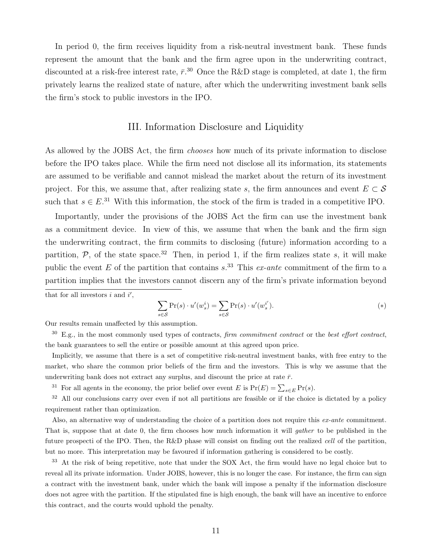In period 0, the firm receives liquidity from a risk-neutral investment bank. These funds represent the amount that the bank and the firm agree upon in the underwriting contract, discounted at a risk-free interest rate,  $\bar{r}$ .<sup>30</sup> Once the R&D stage is completed, at date 1, the firm privately learns the realized state of nature, after which the underwriting investment bank sells the firm's stock to public investors in the IPO.

## III. Information Disclosure and Liquidity

As allowed by the JOBS Act, the firm *chooses* how much of its private information to disclose before the IPO takes place. While the firm need not disclose all its information, its statements are assumed to be verifiable and cannot mislead the market about the return of its investment project. For this, we assume that, after realizing state s, the firm announces and event  $E \subset \mathcal{S}$ such that  $s \in E^{31}$  With this information, the stock of the firm is traded in a competitive IPO.

Importantly, under the provisions of the JOBS Act the firm can use the investment bank as a commitment device. In view of this, we assume that when the bank and the firm sign the underwriting contract, the firm commits to disclosing (future) information according to a partition,  $P$ , of the state space.<sup>32</sup> Then, in period 1, if the firm realizes state s, it will make public the event  $E$  of the partition that contains  $s^{33}$ . This ex-ante commitment of the firm to a partition implies that the investors cannot discern any of the firm's private information beyond that for all investors  $i$  and  $i'$ ,

$$
\sum_{s \in \mathcal{S}} \Pr(s) \cdot u'(w_s^i) = \sum_{s \in \mathcal{S}} \Pr(s) \cdot u'(w_s^{i'}).
$$
\n
$$
(*)
$$

Our results remain unaffected by this assumption.

 $30\,$  E.g., in the most commonly used types of contracts, firm commitment contract or the best effort contract, the bank guarantees to sell the entire or possible amount at this agreed upon price.

Implicitly, we assume that there is a set of competitive risk-neutral investment banks, with free entry to the market, who share the common prior beliefs of the firm and the investors. This is why we assume that the underwriting bank does not extract any surplus, and discount the price at rate  $\bar{r}$ .

<sup>31</sup> For all agents in the economy, the prior belief over event E is  $Pr(E) = \sum_{s \in E} Pr(s)$ .

<sup>32</sup> All our conclusions carry over even if not all partitions are feasible or if the choice is dictated by a policy requirement rather than optimization.

Also, an alternative way of understanding the choice of a partition does not require this  $ex$ -ante commitment. That is, suppose that at date 0, the firm chooses how much information it will *qather* to be published in the future prospecti of the IPO. Then, the R&D phase will consist on finding out the realized *cell* of the partition, but no more. This interpretation may be favoured if information gathering is considered to be costly.

<sup>33</sup> At the risk of being repetitive, note that under the SOX Act, the firm would have no legal choice but to reveal all its private information. Under JOBS, however, this is no longer the case. For instance, the firm can sign a contract with the investment bank, under which the bank will impose a penalty if the information disclosure does not agree with the partition. If the stipulated fine is high enough, the bank will have an incentive to enforce this contract, and the courts would uphold the penalty.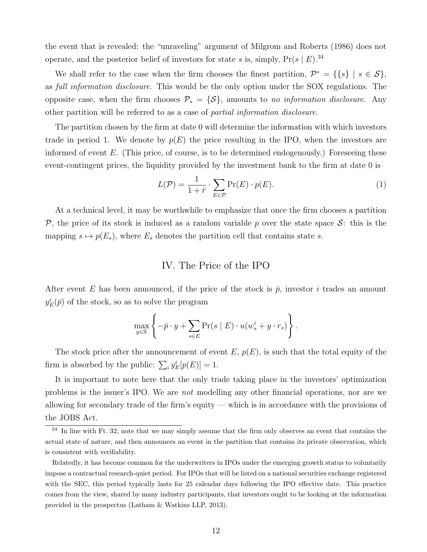the event that is revealed: the "unraveling" argument of Milgrom and Roberts (1986) does not operate, and the posterior belief of investors for state s is, simply,  $Pr(s \mid E)^{34}$ 

We shall refer to the case when the firm chooses the finest partition,  $\mathcal{P}^* = \{\{s\} \mid s \in \mathcal{S}\},\$ as full information disclosure. This would be the only option under the SOX regulations. The opposite case, when the firm chooses  $\mathcal{P}_* = \{S\}$ , amounts to no information disclosure. Any other partition will be referred to as a case of partial information disclosure.

The partition chosen by the firm at date 0 will determine the information with which investors trade in period 1. We denote by  $p(E)$  the price resulting in the IPO, when the investors are informed of event  $E$ . (This price, of course, is to be determined endogenously.) Foreseeing these event-contingent prices, the liquidity provided by the investment bank to the firm at date 0 is

$$
L(\mathcal{P}) = \frac{1}{1+\bar{r}} \cdot \sum_{E \in \mathcal{P}} \Pr(E) \cdot p(E). \tag{1}
$$

At a technical level, it may be worthwhile to emphasize that once the firm chooses a partition P, the price of its stock is induced as a random variable p over the state space S: this is the mapping  $s \mapsto p(E_s)$ , where  $E_s$  denotes the partition cell that contains state s.

## IV. The Price of the IPO

After event E has been announced, if the price of the stock is  $\bar{p}$ , investor i trades an amount  $y_E^i(\bar{p})$  of the stock, so as to solve the program

$$
\max_{y \in \mathbb{R}} \left\{-\bar{p} \cdot y + \sum_{s \in E} \Pr(s \mid E) \cdot u(w_s^i + y \cdot r_s)\right\}.
$$

The stock price after the announcement of event  $E, p(E)$ , is such that the total equity of the firm is absorbed by the public:  $\sum_i y_E^i[p(E)] = 1$ .

It is important to note here that the only trade taking place in the investors' optimization problems is the issuer's IPO. We are not modelling any other financial operations, nor are we allowing for secondary trade of the firm's equity — which is in accordance with the provisions of the JOBS Act.

 $34$  In line with Ft. 32, note that we may simply assume that the firm only observes an event that contains the actual state of nature, and then announces an event in the partition that contains its private observation, which is consistent with verifiability.

Relatedly, it has become common for the underwriters in IPOs under the emerging growth status to voluntarily impose a contractual research-quiet period. For IPOs that will be listed on a national securities exchange registered with the SEC, this period typically lasts for 25 calendar days following the IPO effective date. This practice comes from the view, shared by many industry participants, that investors ought to be looking at the information provided in the prospectus (Latham & Watkins LLP, 2013).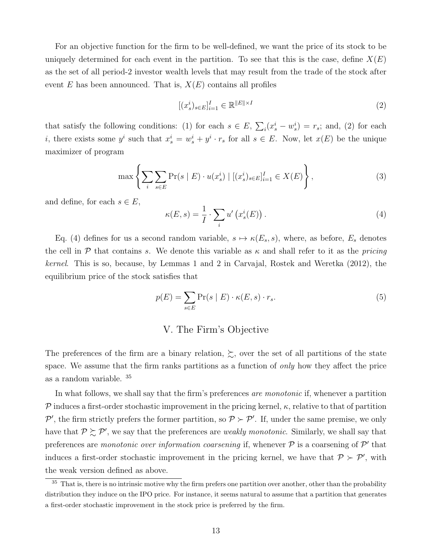For an objective function for the firm to be well-defined, we want the price of its stock to be uniquely determined for each event in the partition. To see that this is the case, define  $X(E)$ as the set of all period-2 investor wealth levels that may result from the trade of the stock after event E has been announced. That is,  $X(E)$  contains all profiles

$$
[(x_s^i)_{s \in E}]_{i=1}^I \in \mathbb{R}^{\|E\| \times I} \tag{2}
$$

that satisfy the following conditions: (1) for each  $s \in E$ ,  $\sum_i (x_s^i - w_s^i) = r_s$ ; and, (2) for each *i*, there exists some  $y^i$  such that  $x^i_s = w^i_s + y^i \cdot r_s$  for all  $s \in E$ . Now, let  $x(E)$  be the unique maximizer of program

$$
\max \left\{ \sum_{i} \sum_{s \in E} \Pr(s \mid E) \cdot u(x_s^i) \mid [(x_s^i)_{s \in E}]_{i=1}^I \in X(E) \right\},\tag{3}
$$

and define, for each  $s \in E$ ,

$$
\kappa(E,s) = \frac{1}{I} \cdot \sum_{i} u' \left( x_s^i(E) \right). \tag{4}
$$

Eq. (4) defines for us a second random variable,  $s \mapsto \kappa(E_s, s)$ , where, as before,  $E_s$  denotes the cell in  $P$  that contains s. We denote this variable as  $\kappa$  and shall refer to it as the *pricing* kernel. This is so, because, by Lemmas 1 and 2 in Carvajal, Rostek and Weretka (2012), the equilibrium price of the stock satisfies that

$$
p(E) = \sum_{s \in E} \Pr(s \mid E) \cdot \kappa(E, s) \cdot r_s.
$$
 (5)

## V. The Firm's Objective

The preferences of the firm are a binary relation,  $\gtrsim$ , over the set of all partitions of the state space. We assume that the firm ranks partitions as a function of *only* how they affect the price as a random variable. <sup>35</sup>

In what follows, we shall say that the firm's preferences are monotonic if, whenever a partition P induces a first-order stochastic improvement in the pricing kernel,  $\kappa$ , relative to that of partition P', the firm strictly prefers the former partition, so  $P \succ P'$ . If, under the same premise, we only have that  $P \succeq P'$ , we say that the preferences are *weakly monotonic*. Similarly, we shall say that preferences are *monotonic over information coarsening* if, whenever  $P$  is a coarsening of  $P'$  that induces a first-order stochastic improvement in the pricing kernel, we have that  $P \succ P'$ , with the weak version defined as above.

 $35$  That is, there is no intrinsic motive why the firm prefers one partition over another, other than the probability distribution they induce on the IPO price. For instance, it seems natural to assume that a partition that generates a first-order stochastic improvement in the stock price is preferred by the firm.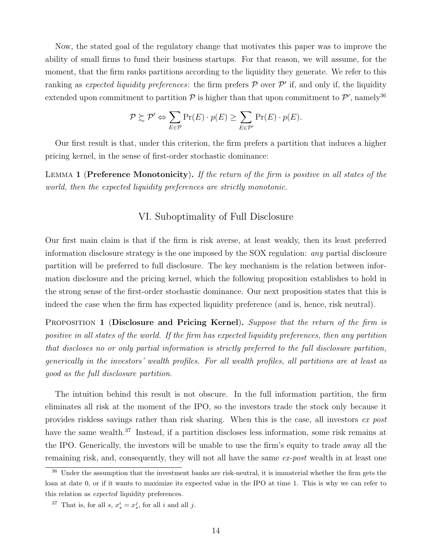Now, the stated goal of the regulatory change that motivates this paper was to improve the ability of small firms to fund their business startups. For that reason, we will assume, for the moment, that the firm ranks partitions according to the liquidity they generate. We refer to this ranking as expected liquidity preferences: the firm prefers  $P$  over  $P'$  if, and only if, the liquidity extended upon commitment to partition  $P$  is higher than that upon commitment to  $P'$ , namely<sup>36</sup>

$$
\mathcal{P} \succsim \mathcal{P}' \Leftrightarrow \sum_{E \in \mathcal{P}} \Pr(E) \cdot p(E) \ge \sum_{E \in \mathcal{P}'} \Pr(E) \cdot p(E).
$$

Our first result is that, under this criterion, the firm prefers a partition that induces a higher pricing kernel, in the sense of first-order stochastic dominance:

LEMMA 1 (Preference Monotonicity). If the return of the firm is positive in all states of the world, then the expected liquidity preferences are strictly monotonic.

## VI. Suboptimality of Full Disclosure

Our first main claim is that if the firm is risk averse, at least weakly, then its least preferred information disclosure strategy is the one imposed by the SOX regulation: any partial disclosure partition will be preferred to full disclosure. The key mechanism is the relation between information disclosure and the pricing kernel, which the following proposition establishes to hold in the strong sense of the first-order stochastic dominance. Our next proposition states that this is indeed the case when the firm has expected liquidity preference (and is, hence, risk neutral).

PROPOSITION 1 (Disclosure and Pricing Kernel). Suppose that the return of the firm is positive in all states of the world. If the firm has expected liquidity preferences, then any partition that discloses no or only partial information is strictly preferred to the full disclosure partition, generically in the investors' wealth profiles. For all wealth profiles, all partitions are at least as good as the full disclosure partition.

The intuition behind this result is not obscure. In the full information partition, the firm eliminates all risk at the moment of the IPO, so the investors trade the stock only because it provides riskless savings rather than risk sharing. When this is the case, all investors ex post have the same wealth.<sup>37</sup> Instead, if a partition discloses less information, some risk remains at the IPO. Generically, the investors will be unable to use the firm's equity to trade away all the remaining risk, and, consequently, they will not all have the same ex-post wealth in at least one

<sup>36</sup> Under the assumption that the investment banks are risk-neutral, it is immaterial whether the firm gets the loan at date 0, or if it wants to maximize its expected value in the IPO at time 1. This is why we can refer to this relation as *expected* liquidity preferences.

<sup>&</sup>lt;sup>37</sup> That is, for all  $s, x_s^i = x_s^j$ , for all i and all j.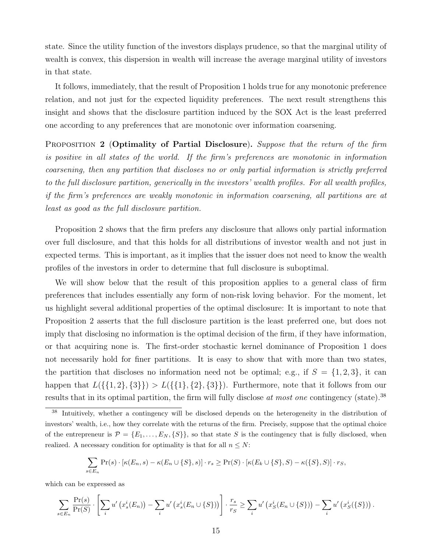state. Since the utility function of the investors displays prudence, so that the marginal utility of wealth is convex, this dispersion in wealth will increase the average marginal utility of investors in that state.

It follows, immediately, that the result of Proposition 1 holds true for any monotonic preference relation, and not just for the expected liquidity preferences. The next result strengthens this insight and shows that the disclosure partition induced by the SOX Act is the least preferred one according to any preferences that are monotonic over information coarsening.

PROPOSITION 2 (Optimality of Partial Disclosure). Suppose that the return of the firm is positive in all states of the world. If the firm's preferences are monotonic in information coarsening, then any partition that discloses no or only partial information is strictly preferred to the full disclosure partition, generically in the investors' wealth profiles. For all wealth profiles, if the firm's preferences are weakly monotonic in information coarsening, all partitions are at least as good as the full disclosure partition.

Proposition 2 shows that the firm prefers any disclosure that allows only partial information over full disclosure, and that this holds for all distributions of investor wealth and not just in expected terms. This is important, as it implies that the issuer does not need to know the wealth profiles of the investors in order to determine that full disclosure is suboptimal.

We will show below that the result of this proposition applies to a general class of firm preferences that includes essentially any form of non-risk loving behavior. For the moment, let us highlight several additional properties of the optimal disclosure: It is important to note that Proposition 2 asserts that the full disclosure partition is the least preferred one, but does not imply that disclosing no information is the optimal decision of the firm, if they have information, or that acquiring none is. The first-order stochastic kernel dominance of Proposition 1 does not necessarily hold for finer partitions. It is easy to show that with more than two states, the partition that discloses no information need not be optimal; e.g., if  $S = \{1,2,3\}$ , it can happen that  $L({\{1,2\},\{3\}}) > L({\{\{1\},\{2\},\{3\}\}})$ . Furthermore, note that it follows from our results that in its optimal partition, the firm will fully disclose at most one contingency (state).<sup>38</sup>

$$
\sum_{s \in E_n} \Pr(s) \cdot [\kappa(E_n, s) - \kappa(E_n \cup \{S\}, s)] \cdot r_s \ge \Pr(S) \cdot [\kappa(E_k \cup \{S\}, S) - \kappa(\{S\}, S)] \cdot r_S,
$$

which can be expressed as

$$
\sum_{s\in E_n} \frac{\Pr(s)}{\Pr(S)} \cdot \left[ \sum_i u' \left( x_s^i(E_n) \right) - \sum_i u' \left( x_s^i(E_n \cup \{S\}) \right) \right] \cdot \frac{r_s}{r_S} \ge \sum_i u' \left( x_S^i(E_n \cup \{S\}) \right) - \sum_i u' \left( x_S^i(\{S\}) \right).
$$

<sup>38</sup> Intuitively, whether a contingency will be disclosed depends on the heterogeneity in the distribution of investors' wealth, i.e., how they correlate with the returns of the firm. Precisely, suppose that the optimal choice of the entrepreneur is  $\mathcal{P} = \{E_1, \ldots, E_N, \{S\}\}\$ , so that state S is the contingency that is fully disclosed, when realized. A necessary condition for optimality is that for all  $n \leq N$ :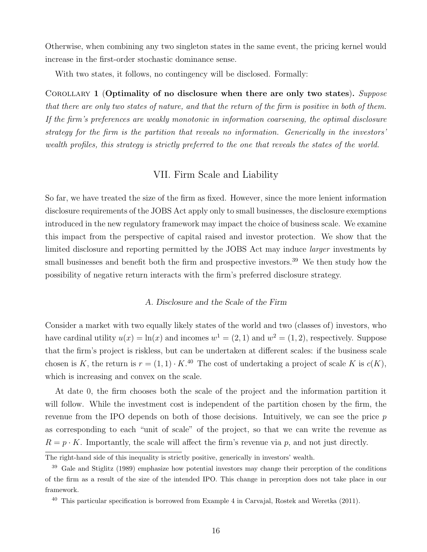Otherwise, when combining any two singleton states in the same event, the pricing kernel would increase in the first-order stochastic dominance sense.

With two states, it follows, no contingency will be disclosed. Formally:

COROLLARY 1 (Optimality of no disclosure when there are only two states). Suppose that there are only two states of nature, and that the return of the firm is positive in both of them. If the firm's preferences are weakly monotonic in information coarsening, the optimal disclosure strategy for the firm is the partition that reveals no information. Generically in the investors' wealth profiles, this strategy is strictly preferred to the one that reveals the states of the world.

## VII. Firm Scale and Liability

So far, we have treated the size of the firm as fixed. However, since the more lenient information disclosure requirements of the JOBS Act apply only to small businesses, the disclosure exemptions introduced in the new regulatory framework may impact the choice of business scale. We examine this impact from the perspective of capital raised and investor protection. We show that the limited disclosure and reporting permitted by the JOBS Act may induce larger investments by small businesses and benefit both the firm and prospective investors.<sup>39</sup> We then study how the possibility of negative return interacts with the firm's preferred disclosure strategy.

#### A. Disclosure and the Scale of the Firm

Consider a market with two equally likely states of the world and two (classes of) investors, who have cardinal utility  $u(x) = \ln(x)$  and incomes  $w^1 = (2, 1)$  and  $w^2 = (1, 2)$ , respectively. Suppose that the firm's project is riskless, but can be undertaken at different scales: if the business scale chosen is K, the return is  $r = (1, 1) \cdot K^{40}$  The cost of undertaking a project of scale K is  $c(K)$ , which is increasing and convex on the scale.

At date 0, the firm chooses both the scale of the project and the information partition it will follow. While the investment cost is independent of the partition chosen by the firm, the revenue from the IPO depends on both of those decisions. Intuitively, we can see the price p as corresponding to each "unit of scale" of the project, so that we can write the revenue as  $R = p \cdot K$ . Importantly, the scale will affect the firm's revenue via p, and not just directly.

The right-hand side of this inequality is strictly positive, generically in investors' wealth.

<sup>&</sup>lt;sup>39</sup> Gale and Stiglitz (1989) emphasize how potential investors may change their perception of the conditions of the firm as a result of the size of the intended IPO. This change in perception does not take place in our framework.

 $^{40}$  This particular specification is borrowed from Example 4 in Carvajal, Rostek and Weretka (2011).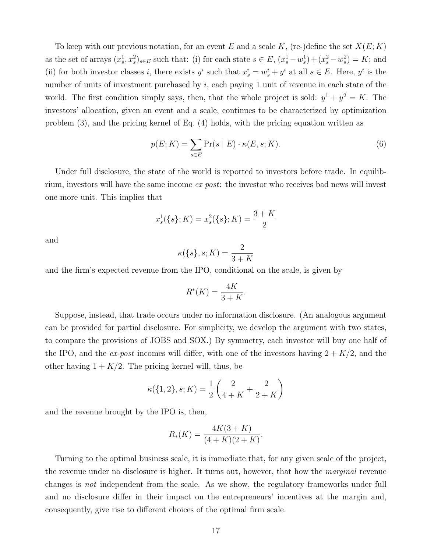To keep with our previous notation, for an event E and a scale K, (re-)define the set  $X(E; K)$ as the set of arrays  $(x_s^1, x_s^2)_{s \in E}$  such that: (i) for each state  $s \in E$ ,  $(x_s^1 - w_s^1) + (x_s^2 - w_s^2) = K$ ; and (ii) for both investor classes i, there exists  $y^i$  such that  $x^i_s = w^i_s + y^i$  at all  $s \in E$ . Here,  $y^i$  is the number of units of investment purchased by  $i$ , each paying 1 unit of revenue in each state of the world. The first condition simply says, then, that the whole project is sold:  $y^1 + y^2 = K$ . The investors' allocation, given an event and a scale, continues to be characterized by optimization problem (3), and the pricing kernel of Eq. (4) holds, with the pricing equation written as

$$
p(E;K) = \sum_{s \in E} \Pr(s \mid E) \cdot \kappa(E, s; K). \tag{6}
$$

Under full disclosure, the state of the world is reported to investors before trade. In equilibrium, investors will have the same income ex post: the investor who receives bad news will invest one more unit. This implies that

$$
x_s^1(\{s\}; K) = x_s^2(\{s\}; K) = \frac{3+K}{2}
$$

and

$$
\kappa({s\},s;K) = \frac{2}{3+K}
$$

and the firm's expected revenue from the IPO, conditional on the scale, is given by

$$
R^*(K) = \frac{4K}{3+K}.
$$

Suppose, instead, that trade occurs under no information disclosure. (An analogous argument can be provided for partial disclosure. For simplicity, we develop the argument with two states, to compare the provisions of JOBS and SOX.) By symmetry, each investor will buy one half of the IPO, and the ex-post incomes will differ, with one of the investors having  $2 + K/2$ , and the other having  $1 + K/2$ . The pricing kernel will, thus, be

$$
\kappa({1, 2}, s; K) = \frac{1}{2} \left( \frac{2}{4 + K} + \frac{2}{2 + K} \right)
$$

and the revenue brought by the IPO is, then,

$$
R_*(K) = \frac{4K(3+K)}{(4+K)(2+K)}
$$

.

Turning to the optimal business scale, it is immediate that, for any given scale of the project, the revenue under no disclosure is higher. It turns out, however, that how the *marginal* revenue changes is not independent from the scale. As we show, the regulatory frameworks under full and no disclosure differ in their impact on the entrepreneurs' incentives at the margin and, consequently, give rise to different choices of the optimal firm scale.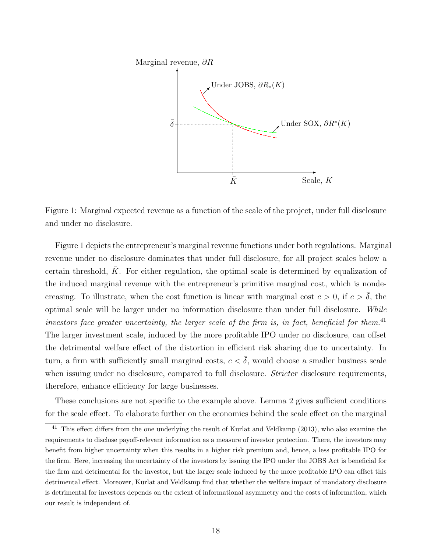

Figure 1: Marginal expected revenue as a function of the scale of the project, under full disclosure and under no disclosure.

Figure 1 depicts the entrepreneur's marginal revenue functions under both regulations. Marginal revenue under no disclosure dominates that under full disclosure, for all project scales below a certain threshold,  $K$ . For either regulation, the optimal scale is determined by equalization of the induced marginal revenue with the entrepreneur's primitive marginal cost, which is nondecreasing. To illustrate, when the cost function is linear with marginal cost  $c > 0$ , if  $c > \delta$ , the optimal scale will be larger under no information disclosure than under full disclosure. While investors face greater uncertainty, the larger scale of the firm is, in fact, beneficial for them.<sup>41</sup> The larger investment scale, induced by the more profitable IPO under no disclosure, can offset the detrimental welfare effect of the distortion in efficient risk sharing due to uncertainty. In turn, a firm with sufficiently small marginal costs,  $c < \bar{\delta}$ , would choose a smaller business scale when issuing under no disclosure, compared to full disclosure. *Stricter* disclosure requirements, therefore, enhance efficiency for large businesses.

These conclusions are not specific to the example above. Lemma 2 gives sufficient conditions for the scale effect. To elaborate further on the economics behind the scale effect on the marginal

<sup>&</sup>lt;sup>41</sup> This effect differs from the one underlying the result of Kurlat and Veldkamp (2013), who also examine the requirements to disclose payoff-relevant information as a measure of investor protection. There, the investors may benefit from higher uncertainty when this results in a higher risk premium and, hence, a less profitable IPO for the firm. Here, increasing the uncertainty of the investors by issuing the IPO under the JOBS Act is beneficial for the firm and detrimental for the investor, but the larger scale induced by the more profitable IPO can offset this detrimental effect. Moreover, Kurlat and Veldkamp find that whether the welfare impact of mandatory disclosure is detrimental for investors depends on the extent of informational asymmetry and the costs of information, which our result is independent of.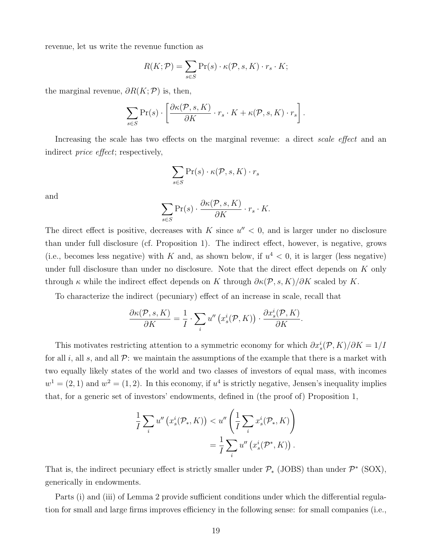revenue, let us write the revenue function as

$$
R(K; \mathcal{P}) = \sum_{s \in S} \Pr(s) \cdot \kappa(\mathcal{P}, s, K) \cdot r_s \cdot K;
$$

the marginal revenue,  $\partial R(K; \mathcal{P})$  is, then,

$$
\sum_{s \in S} \Pr(s) \cdot \left[ \frac{\partial \kappa(\mathcal{P}, s, K)}{\partial K} \cdot r_s \cdot K + \kappa(\mathcal{P}, s, K) \cdot r_s \right].
$$

Increasing the scale has two effects on the marginal revenue: a direct scale effect and an indirect price effect; respectively,

$$
\sum_{s\in S}\Pr(s)\cdot \kappa(\mathcal{P},s,K)\cdot r_s
$$

and

$$
\sum_{s \in S} \Pr(s) \cdot \frac{\partial \kappa(\mathcal{P}, s, K)}{\partial K} \cdot r_s \cdot K.
$$

The direct effect is positive, decreases with  $K$  since  $u'' < 0$ , and is larger under no disclosure than under full disclosure (cf. Proposition 1). The indirect effect, however, is negative, grows (i.e., becomes less negative) with K and, as shown below, if  $u^4 < 0$ , it is larger (less negative) under full disclosure than under no disclosure. Note that the direct effect depends on K only through  $\kappa$  while the indirect effect depends on K through  $\partial \kappa(\mathcal{P}, s, K)/\partial K$  scaled by K.

To characterize the indirect (pecuniary) effect of an increase in scale, recall that

$$
\frac{\partial \kappa(\mathcal{P}, s, K)}{\partial K} = \frac{1}{I} \cdot \sum_{i} u'' \left( x_s^i(\mathcal{P}, K) \right) \cdot \frac{\partial x_s^i(\mathcal{P}, K)}{\partial K}.
$$

This motivates restricting attention to a symmetric economy for which  $\partial x_s^i(\mathcal{P}, K)/\partial K = 1/I$ for all i, all s, and all  $\mathcal{P}$ : we maintain the assumptions of the example that there is a market with two equally likely states of the world and two classes of investors of equal mass, with incomes  $w<sup>1</sup> = (2, 1)$  and  $w<sup>2</sup> = (1, 2)$ . In this economy, if  $u<sup>4</sup>$  is strictly negative, Jensen's inequality implies that, for a generic set of investors' endowments, defined in (the proof of) Proposition 1,

$$
\frac{1}{I} \sum_{i} u''\left(x_s^i(\mathcal{P}_*, K)\right) < u''\left(\frac{1}{I} \sum_{i} x_s^i(\mathcal{P}_*, K)\right) \\
= \frac{1}{I} \sum_{i} u''\left(x_s^i(\mathcal{P}^*, K)\right).
$$

That is, the indirect pecuniary effect is strictly smaller under  $\mathcal{P}_*$  (JOBS) than under  $\mathcal{P}^*$  (SOX), generically in endowments.

Parts (i) and (iii) of Lemma 2 provide sufficient conditions under which the differential regulation for small and large firms improves efficiency in the following sense: for small companies (i.e.,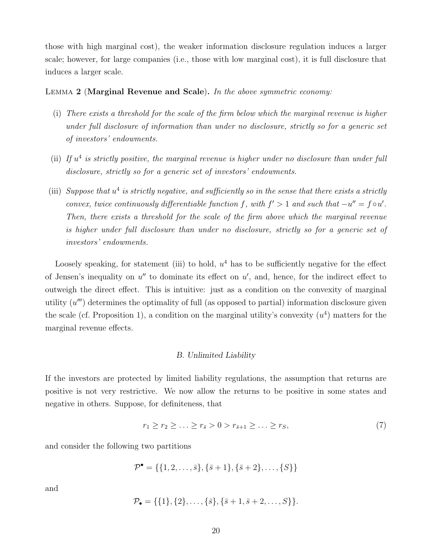those with high marginal cost), the weaker information disclosure regulation induces a larger scale; however, for large companies (i.e., those with low marginal cost), it is full disclosure that induces a larger scale.

### LEMMA 2 (Marginal Revenue and Scale). In the above symmetric economy:

- (i) There exists a threshold for the scale of the firm below which the marginal revenue is higher under full disclosure of information than under no disclosure, strictly so for a generic set of investors' endowments.
- (ii) If  $u<sup>4</sup>$  is strictly positive, the marginal revenue is higher under no disclosure than under full disclosure, strictly so for a generic set of investors' endowments.
- (iii) Suppose that  $u^4$  is strictly negative, and sufficiently so in the sense that there exists a strictly convex, twice continuously differentiable function f, with  $f' > 1$  and such that  $-u'' = f \circ u'$ . Then, there exists a threshold for the scale of the firm above which the marginal revenue is higher under full disclosure than under no disclosure, strictly so for a generic set of investors' endowments.

Loosely speaking, for statement (iii) to hold,  $u^4$  has to be sufficiently negative for the effect of Jensen's inequality on  $u''$  to dominate its effect on  $u'$ , and, hence, for the indirect effect to outweigh the direct effect. This is intuitive: just as a condition on the convexity of marginal utility  $(u''')$  determines the optimality of full (as opposed to partial) information disclosure given the scale (cf. Proposition 1), a condition on the marginal utility's convexity  $(u<sup>4</sup>)$  matters for the marginal revenue effects.

#### B. Unlimited Liability

If the investors are protected by limited liability regulations, the assumption that returns are positive is not very restrictive. We now allow the returns to be positive in some states and negative in others. Suppose, for definiteness, that

$$
r_1 \ge r_2 \ge \ldots \ge r_{\bar{s}} > 0 > r_{\bar{s}+1} \ge \ldots \ge r_S,
$$
\n(7)

and consider the following two partitions

 $\mathcal{P}^{\bullet} = \{\{1, 2, \ldots, \bar{s}\}, \{\bar{s}+1\}, \{\bar{s}+2\}, \ldots, \{S\}\}\$ 

and

$$
\mathcal{P}_{\bullet} = \{ \{1\}, \{2\}, \ldots, \{\bar{s}\}, \{\bar{s}+1, \bar{s}+2, \ldots, S\} \}.
$$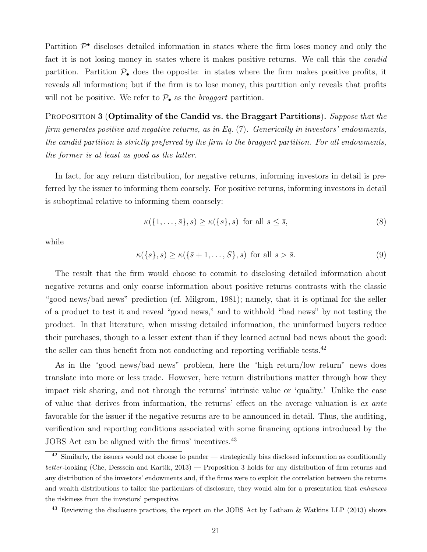Partition  $\mathcal{P}^{\bullet}$  discloses detailed information in states where the firm loses money and only the fact it is not losing money in states where it makes positive returns. We call this the *candid* partition. Partition  $\mathcal{P}_{\bullet}$  does the opposite: in states where the firm makes positive profits, it reveals all information; but if the firm is to lose money, this partition only reveals that profits will not be positive. We refer to  $P_{\bullet}$  as the *braggart* partition.

PROPOSITION 3 (Optimality of the Candid vs. the Braggart Partitions). Suppose that the firm generates positive and negative returns, as in Eq. (7). Generically in investors' endowments, the candid partition is strictly preferred by the firm to the braggart partition. For all endowments, the former is at least as good as the latter.

In fact, for any return distribution, for negative returns, informing investors in detail is preferred by the issuer to informing them coarsely. For positive returns, informing investors in detail is suboptimal relative to informing them coarsely:

$$
\kappa(\{1,\ldots,\bar{s}\},s) \ge \kappa(\{s\},s) \text{ for all } s \le \bar{s},\tag{8}
$$

while

$$
\kappa({s}, s) \ge \kappa({\overline{s}} + 1, \dots, S, s) \text{ for all } s > \overline{s}.
$$
 (9)

The result that the firm would choose to commit to disclosing detailed information about negative returns and only coarse information about positive returns contrasts with the classic "good news/bad news" prediction (cf. Milgrom, 1981); namely, that it is optimal for the seller of a product to test it and reveal "good news," and to withhold "bad news" by not testing the product. In that literature, when missing detailed information, the uninformed buyers reduce their purchases, though to a lesser extent than if they learned actual bad news about the good: the seller can thus benefit from not conducting and reporting verifiable tests.<sup>42</sup>

As in the "good news/bad news" problem, here the "high return/low return" news does translate into more or less trade. However, here return distributions matter through how they impact risk sharing, and not through the returns' intrinsic value or 'quality.' Unlike the case of value that derives from information, the returns' effect on the average valuation is ex ante favorable for the issuer if the negative returns are to be announced in detail. Thus, the auditing, verification and reporting conditions associated with some financing options introduced by the JOBS Act can be aligned with the firms' incentives.<sup>43</sup>

 $42$  Similarly, the issuers would not choose to pander — strategically bias disclosed information as conditionally better -looking (Che, Desssein and Kartik, 2013) — Proposition 3 holds for any distribution of firm returns and any distribution of the investors' endowments and, if the firms were to exploit the correlation between the returns and wealth distributions to tailor the particulars of disclosure, they would aim for a presentation that *enhances* the riskiness from the investors' perspective.

<sup>43</sup> Reviewing the disclosure practices, the report on the JOBS Act by Latham & Watkins LLP (2013) shows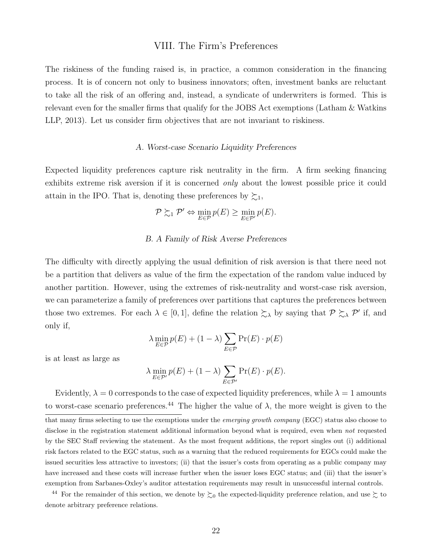### VIII. The Firm's Preferences

The riskiness of the funding raised is, in practice, a common consideration in the financing process. It is of concern not only to business innovators; often, investment banks are reluctant to take all the risk of an offering and, instead, a syndicate of underwriters is formed. This is relevant even for the smaller firms that qualify for the JOBS Act exemptions (Latham & Watkins LLP, 2013). Let us consider firm objectives that are not invariant to riskiness.

#### A. Worst-case Scenario Liquidity Preferences

Expected liquidity preferences capture risk neutrality in the firm. A firm seeking financing exhibits extreme risk aversion if it is concerned *only* about the lowest possible price it could attain in the IPO. That is, denoting these preferences by  $\succsim_1$ ,

$$
\mathcal{P} \succsim_1 \mathcal{P}' \Leftrightarrow \min_{E \in \mathcal{P}} p(E) \ge \min_{E \in \mathcal{P}'} p(E).
$$

#### B. A Family of Risk Averse Preferences

The difficulty with directly applying the usual definition of risk aversion is that there need not be a partition that delivers as value of the firm the expectation of the random value induced by another partition. However, using the extremes of risk-neutrality and worst-case risk aversion, we can parameterize a family of preferences over partitions that captures the preferences between those two extremes. For each  $\lambda \in [0,1]$ , define the relation  $\sum_{\lambda}$  by saying that  $\mathcal{P} \succeq_{\lambda} \mathcal{P}'$  if, and only if,

$$
\lambda \min_{E \in \mathcal{P}} p(E) + (1 - \lambda) \sum_{E \in \mathcal{P}} \Pr(E) \cdot p(E)
$$

is at least as large as

$$
\lambda \min_{E \in \mathcal{P}'} p(E) + (1 - \lambda) \sum_{E \in \mathcal{P}'} \Pr(E) \cdot p(E).
$$

Evidently,  $\lambda = 0$  corresponds to the case of expected liquidity preferences, while  $\lambda = 1$  amounts to worst-case scenario preferences.<sup>44</sup> The higher the value of  $\lambda$ , the more weight is given to the that many firms selecting to use the exemptions under the emerging growth company (EGC) status also choose to disclose in the registration statement additional information beyond what is required, even when not requested by the SEC Staff reviewing the statement. As the most frequent additions, the report singles out (i) additional risk factors related to the EGC status, such as a warning that the reduced requirements for EGCs could make the issued securities less attractive to investors; (ii) that the issuer's costs from operating as a public company may have increased and these costs will increase further when the issuer loses EGC status; and (iii) that the issuer's exemption from Sarbanes-Oxley's auditor attestation requirements may result in unsuccessful internal controls.

<sup>44</sup> For the remainder of this section, we denote by  $\succsim_0$  the expected-liquidity preference relation, and use  $\succsim$  to denote arbitrary preference relations.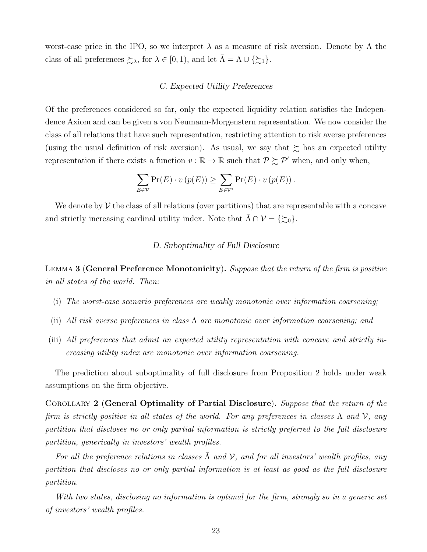worst-case price in the IPO, so we interpret  $\lambda$  as a measure of risk aversion. Denote by  $\Lambda$  the class of all preferences  $\succsim_{\lambda}$ , for  $\lambda \in [0, 1)$ , and let  $\bar{\Lambda} = \Lambda \cup \{\succsim_{1}\}.$ 

#### C. Expected Utility Preferences

Of the preferences considered so far, only the expected liquidity relation satisfies the Independence Axiom and can be given a von Neumann-Morgenstern representation. We now consider the class of all relations that have such representation, restricting attention to risk averse preferences (using the usual definition of risk aversion). As usual, we say that  $\succsim$  has an expected utility representation if there exists a function  $v : \mathbb{R} \to \mathbb{R}$  such that  $\mathcal{P} \succsim \mathcal{P}'$  when, and only when,

$$
\sum_{E \in \mathcal{P}} \Pr(E) \cdot v(p(E)) \ge \sum_{E \in \mathcal{P}'} \Pr(E) \cdot v(p(E)).
$$

We denote by  $V$  the class of all relations (over partitions) that are representable with a concave and strictly increasing cardinal utility index. Note that  $\Lambda \cap \mathcal{V} = \{\gtrsim_0\}.$ 

### D. Suboptimality of Full Disclosure

LEMMA 3 (General Preference Monotonicity). Suppose that the return of the firm is positive in all states of the world. Then:

- (i) The worst-case scenario preferences are weakly monotonic over information coarsening;
- (ii) All risk averse preferences in class  $\Lambda$  are monotonic over information coarsening; and
- (iii) All preferences that admit an expected utility representation with concave and strictly increasing utility index are monotonic over information coarsening.

The prediction about suboptimality of full disclosure from Proposition 2 holds under weak assumptions on the firm objective.

COROLLARY 2 (General Optimality of Partial Disclosure). Suppose that the return of the firm is strictly positive in all states of the world. For any preferences in classes  $\Lambda$  and  $\mathcal{V}$ , any partition that discloses no or only partial information is strictly preferred to the full disclosure partition, generically in investors' wealth profiles.

For all the preference relations in classes  $\Lambda$  and  $\mathcal V$ , and for all investors' wealth profiles, any partition that discloses no or only partial information is at least as good as the full disclosure partition.

With two states, disclosing no information is optimal for the firm, strongly so in a generic set of investors' wealth profiles.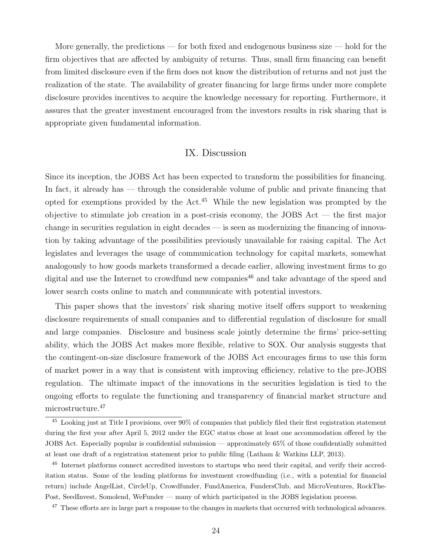More generally, the predictions — for both fixed and endogenous business size — hold for the firm objectives that are affected by ambiguity of returns. Thus, small firm financing can benefit from limited disclosure even if the firm does not know the distribution of returns and not just the realization of the state. The availability of greater financing for large firms under more complete disclosure provides incentives to acquire the knowledge necessary for reporting. Furthermore, it assures that the greater investment encouraged from the investors results in risk sharing that is appropriate given fundamental information.

# IX. Discussion

Since its inception, the JOBS Act has been expected to transform the possibilities for financing. In fact, it already has — through the considerable volume of public and private financing that opted for exemptions provided by the Act.<sup>45</sup> While the new legislation was prompted by the objective to stimulate job creation in a post-crisis economy, the JOBS Act — the first major change in securities regulation in eight decades — is seen as modernizing the financing of innovation by taking advantage of the possibilities previously unavailable for raising capital. The Act legislates and leverages the usage of communication technology for capital markets, somewhat analogously to how goods markets transformed a decade earlier, allowing investment firms to go digital and use the Internet to crowdfund new companies<sup>46</sup> and take advantage of the speed and lower search costs online to match and communicate with potential investors.

This paper shows that the investors' risk sharing motive itself offers support to weakening disclosure requirements of small companies and to differential regulation of disclosure for small and large companies. Disclosure and business scale jointly determine the firms' price-setting ability, which the JOBS Act makes more flexible, relative to SOX. Our analysis suggests that the contingent-on-size disclosure framework of the JOBS Act encourages firms to use this form of market power in a way that is consistent with improving efficiency, relative to the pre-JOBS regulation. The ultimate impact of the innovations in the securities legislation is tied to the ongoing efforts to regulate the functioning and transparency of financial market structure and microstructure.<sup>47</sup>

<sup>45</sup> Looking just at Title I provisions, over 90% of companies that publicly filed their first registration statement during the first year after April 5, 2012 under the EGC status chose at least one accommodation offered by the JOBS Act. Especially popular is confidential submission — approximately 65% of those confidentially submitted at least one draft of a registration statement prior to public filing (Latham & Watkins LLP, 2013).

<sup>46</sup> Internet platforms connect accredited investors to startups who need their capital, and verify their accreditation status. Some of the leading platforms for investment crowdfunding (i.e., with a potential for financial return) include AngelList, CircleUp, Crowdfunder, FundAmerica, FundersClub, and MicroVentures, RockThe-Post, SeedInvest, Somolend, WeFunder — many of which participated in the JOBS legislation process.

<sup>&</sup>lt;sup>47</sup> These efforts are in large part a response to the changes in markets that occurred with technological advances.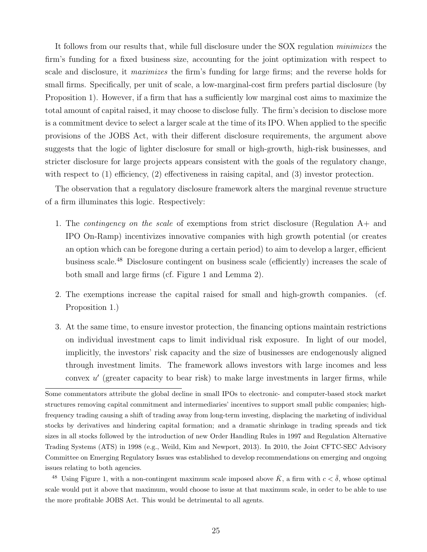It follows from our results that, while full disclosure under the SOX regulation minimizes the firm's funding for a fixed business size, accounting for the joint optimization with respect to scale and disclosure, it maximizes the firm's funding for large firms; and the reverse holds for small firms. Specifically, per unit of scale, a low-marginal-cost firm prefers partial disclosure (by Proposition 1). However, if a firm that has a sufficiently low marginal cost aims to maximize the total amount of capital raised, it may choose to disclose fully. The firm's decision to disclose more is a commitment device to select a larger scale at the time of its IPO. When applied to the specific provisions of the JOBS Act, with their different disclosure requirements, the argument above suggests that the logic of lighter disclosure for small or high-growth, high-risk businesses, and stricter disclosure for large projects appears consistent with the goals of the regulatory change, with respect to (1) efficiency, (2) effectiveness in raising capital, and (3) investor protection.

The observation that a regulatory disclosure framework alters the marginal revenue structure of a firm illuminates this logic. Respectively:

- 1. The contingency on the scale of exemptions from strict disclosure (Regulation A+ and IPO On-Ramp) incentivizes innovative companies with high growth potential (or creates an option which can be foregone during a certain period) to aim to develop a larger, efficient business scale.<sup>48</sup> Disclosure contingent on business scale (efficiently) increases the scale of both small and large firms (cf. Figure 1 and Lemma 2).
- 2. The exemptions increase the capital raised for small and high-growth companies. (cf. Proposition 1.)
- 3. At the same time, to ensure investor protection, the financing options maintain restrictions on individual investment caps to limit individual risk exposure. In light of our model, implicitly, the investors' risk capacity and the size of businesses are endogenously aligned through investment limits. The framework allows investors with large incomes and less convex  $u'$  (greater capacity to bear risk) to make large investments in larger firms, while

Some commentators attribute the global decline in small IPOs to electronic- and computer-based stock market structures removing capital commitment and intermediaries' incentives to support small public companies; highfrequency trading causing a shift of trading away from long-term investing, displacing the marketing of individual stocks by derivatives and hindering capital formation; and a dramatic shrinkage in trading spreads and tick sizes in all stocks followed by the introduction of new Order Handling Rules in 1997 and Regulation Alternative Trading Systems (ATS) in 1998 (e.g., Weild, Kim and Newport, 2013). In 2010, the Joint CFTC-SEC Advisory Committee on Emerging Regulatory Issues was established to develop recommendations on emerging and ongoing issues relating to both agencies.

<sup>&</sup>lt;sup>48</sup> Using Figure 1, with a non-contingent maximum scale imposed above  $\bar{K}$ , a firm with  $c < \bar{\delta}$ , whose optimal scale would put it above that maximum, would choose to issue at that maximum scale, in order to be able to use the more profitable JOBS Act. This would be detrimental to all agents.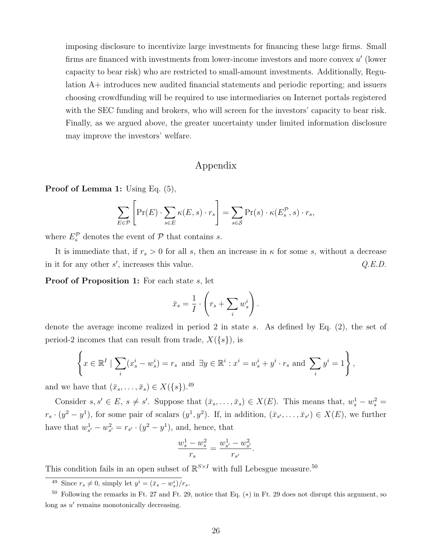imposing disclosure to incentivize large investments for financing these large firms. Small firms are financed with investments from lower-income investors and more convex  $u'$  (lower capacity to bear risk) who are restricted to small-amount investments. Additionally, Regulation A+ introduces new audited financial statements and periodic reporting; and issuers choosing crowdfunding will be required to use intermediaries on Internet portals registered with the SEC funding and brokers, who will screen for the investors' capacity to bear risk. Finally, as we argued above, the greater uncertainty under limited information disclosure may improve the investors' welfare.

# Appendix

Proof of Lemma 1: Using Eq. (5),

$$
\sum_{E \in \mathcal{P}} \left[ \Pr(E) \cdot \sum_{s \in E} \kappa(E, s) \cdot r_s \right] = \sum_{s \in \mathcal{S}} \Pr(s) \cdot \kappa(E_s^{\mathcal{P}}, s) \cdot r_s,
$$

where  $E_s^{\mathcal{P}}$  denotes the event of  $\mathcal{P}$  that contains s.

It is immediate that, if  $r_s > 0$  for all s, then an increase in  $\kappa$  for some s, without a decrease in it for any other  $s'$ , increases this value.  $Q.E.D.$ 

Proof of Proposition 1: For each state s, let

$$
\bar{x}_s = \frac{1}{I} \cdot \left( r_s + \sum_i w_s^i \right).
$$

denote the average income realized in period 2 in state s. As defined by Eq. (2), the set of period-2 incomes that can result from trade,  $X({s})$ , is

$$
\left\{ x \in \mathbb{R}^I \mid \sum_i (x_s^i - w_s^i) = r_s \text{ and } \exists y \in \mathbb{R}^i : x^i = w_s^i + y^i \cdot r_s \text{ and } \sum_i y^i = 1 \right\},\
$$

and we have that  $(\bar{x}_s, \ldots, \bar{x}_s) \in X({s})$ .<sup>49</sup>

Consider  $s, s' \in E$ ,  $s \neq s'$ . Suppose that  $(\bar{x}_s, \ldots, \bar{x}_s) \in X(E)$ . This means that,  $w_s^1 - w_s^2 =$  $r_s \cdot (y^2 - y^1)$ , for some pair of scalars  $(y^1, y^2)$ . If, in addition,  $(\bar{x}_{s'}, \ldots, \bar{x}_{s'}) \in X(E)$ , we further have that  $w_{s'}^1 - w_{s'}^2 = r_{s'} \cdot (y^2 - y^1)$ , and, hence, that

$$
\frac{w_s^1 - w_s^2}{r_s} = \frac{w_{s'}^1 - w_{s'}^2}{r_{s'}}.
$$

This condition fails in an open subset of  $\mathbb{R}^{S \times I}$  with full Lebesgue measure.<sup>50</sup>

<sup>&</sup>lt;sup>49</sup> Since  $r_s \neq 0$ , simply let  $y^i = (\bar{x}_s - w^i_s)/r_s$ .

 $50$  Following the remarks in Ft. 27 and Ft. 29, notice that Eq. (\*) in Ft. 29 does not disrupt this argument, so long as  $u'$  remains monotonically decreasing.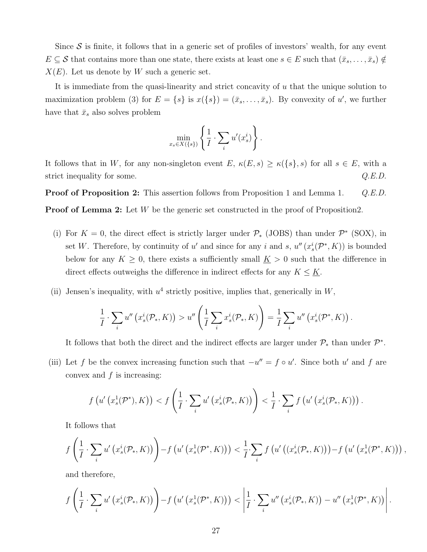Since  $S$  is finite, it follows that in a generic set of profiles of investors' wealth, for any event  $E \subseteq \mathcal{S}$  that contains more than one state, there exists at least one  $s \in E$  such that  $(\bar{x}_s, \ldots, \bar{x}_s) \notin$  $X(E)$ . Let us denote by W such a generic set.

It is immediate from the quasi-linearity and strict concavity of u that the unique solution to maximization problem (3) for  $E = \{s\}$  is  $x(\{s\}) = (\bar{x}_s, \ldots, \bar{x}_s)$ . By convexity of u', we further have that  $\bar{x}_s$  also solves problem

$$
\min_{x_s \in X(\{s\})} \left\{ \frac{1}{I} \cdot \sum_i u'(x_s^i) \right\}.
$$

It follows that in W, for any non-singleton event E,  $\kappa(E, s) \geq \kappa(\{s\}, s)$  for all  $s \in E$ , with a strict inequality for some.  $Q.E.D.$ 

**Proof of Proposition 2:** This assertion follows from Proposition 1 and Lemma 1. Q.E.D. **Proof of Lemma 2:** Let W be the generic set constructed in the proof of Proposition2.

- (i) For  $K = 0$ , the direct effect is strictly larger under  $\mathcal{P}_*$  (JOBS) than under  $\mathcal{P}^*$  (SOX), in set W. Therefore, by continuity of u' and since for any i and s,  $u''(x^i_s(\mathcal{P}^*, K))$  is bounded below for any  $K \geq 0$ , there exists a sufficiently small  $\underline{K} > 0$  such that the difference in direct effects outweighs the difference in indirect effects for any  $K \leq K$ .
- (ii) Jensen's inequality, with  $u^4$  strictly positive, implies that, generically in  $W$ ,

$$
\frac{1}{I} \cdot \sum_i u''\left(x_s^i(\mathcal{P}_*, K)\right) > u''\left(\frac{1}{I}\sum_i x_s^i(\mathcal{P}_*, K)\right) = \frac{1}{I}\sum_i u''\left(x_s^i(\mathcal{P}^*, K)\right).
$$

It follows that both the direct and the indirect effects are larger under  $\mathcal{P}_*$ , than under  $\mathcal{P}^*$ .

(iii) Let f be the convex increasing function such that  $-u'' = f \circ u'$ . Since both u' and f are convex and  $f$  is increasing:

$$
f\left(u'\left(x_s^1(\mathcal{P}^*),K\right)\right) < f\left(\frac{1}{I}\cdot\sum_i u'\left(x_s^i(\mathcal{P}_*,K)\right)\right) < \frac{1}{I}\cdot\sum_i f\left(u'\left(x_s^i(\mathcal{P}_*,K)\right)\right).
$$

It follows that

$$
f\left(\frac{1}{I}\cdot\sum_{i}u'\left(x_s^{i}(\mathcal{P}_*,K)\right)\right)-f\left(u'\left(x_s^{1}(\mathcal{P}^*,K)\right)\right)<\frac{1}{I}\cdot\sum_{i}f\left(u'\left(\left(x_s^{i}(\mathcal{P}_*,K)\right)\right)-f\left(u'\left(x_s^{1}(\mathcal{P}^*,K)\right)\right),
$$

and therefore,

$$
f\left(\frac{1}{I}\cdot\sum_{i}u'\left(x_s^{i}(\mathcal{P}_{*},K)\right)\right)-f\left(u'\left(x_s^{1}(\mathcal{P}^{*},K)\right)\right)<\left|\frac{1}{I}\cdot\sum_{i}u''\left(x_s^{i}(\mathcal{P}_{*},K)\right)-u''\left(x_s^{1}(\mathcal{P}^{*},K)\right)\right|.
$$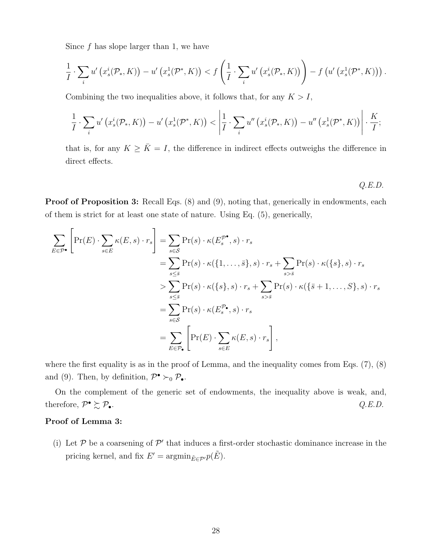Since  $f$  has slope larger than 1, we have

$$
\frac{1}{I} \cdot \sum_{i} u' \left( x_s^i(\mathcal{P}_*, K) \right) - u' \left( x_s^1(\mathcal{P}^*, K) \right) < f \left( \frac{1}{I} \cdot \sum_{i} u' \left( x_s^i(\mathcal{P}_*, K) \right) \right) - f \left( u' \left( x_s^1(\mathcal{P}^*, K) \right) \right).
$$

Combining the two inequalities above, it follows that, for any  $K > I$ ,

$$
\frac{1}{I} \cdot \sum_{i} u' \left( x_s^i(\mathcal{P}_*, K) \right) - u' \left( x_s^1(\mathcal{P}^*, K) \right) < \left| \frac{1}{I} \cdot \sum_{i} u'' \left( x_s^i(\mathcal{P}_*, K) \right) - u'' \left( x_s^1(\mathcal{P}^*, K) \right) \right| \cdot \frac{K}{I};
$$

that is, for any  $K \geq \overline{K} = I$ , the difference in indirect effects outweighs the difference in direct effects.

 $Q.E.D.$ 

**Proof of Proposition 3:** Recall Eqs. (8) and (9), noting that, generically in endowments, each of them is strict for at least one state of nature. Using Eq. (5), generically,

$$
\sum_{E \in \mathcal{P}^{\bullet}} \left[ \Pr(E) \cdot \sum_{s \in E} \kappa(E, s) \cdot r_s \right] = \sum_{s \in \mathcal{S}} \Pr(s) \cdot \kappa(E_s^{\mathcal{P}^{\bullet}}, s) \cdot r_s
$$
\n
$$
= \sum_{s \leq \overline{s}} \Pr(s) \cdot \kappa(\{1, \dots, \overline{s}\}, s) \cdot r_s + \sum_{s > \overline{s}} \Pr(s) \cdot \kappa(\{s\}, s) \cdot r_s
$$
\n
$$
> \sum_{s \leq \overline{s}} \Pr(s) \cdot \kappa(\{s\}, s) \cdot r_s + \sum_{s > \overline{s}} \Pr(s) \cdot \kappa(\{\overline{s} + 1, \dots, S\}, s) \cdot r_s
$$
\n
$$
= \sum_{s \in \mathcal{S}} \Pr(s) \cdot \kappa(E_s^{\mathcal{P}_{\bullet}}, s) \cdot r_s
$$
\n
$$
= \sum_{E \in \mathcal{P}_{\bullet}} \left[ \Pr(E) \cdot \sum_{s \in E} \kappa(E, s) \cdot r_s \right],
$$

where the first equality is as in the proof of Lemma, and the inequality comes from Eqs. (7), (8) and (9). Then, by definition,  $\mathcal{P}^{\bullet} \succ_0 \mathcal{P}_{\bullet}$ .

On the complement of the generic set of endowments, the inequality above is weak, and, therefore,  $\mathcal{P}^{\bullet} \succsim \mathcal{P}_{\bullet}$ . •  $\succsim \mathcal{P}_{\bullet}$ .  $Q.E.D.$ 

### Proof of Lemma 3:

(i) Let  $P$  be a coarsening of  $P'$  that induces a first-order stochastic dominance increase in the pricing kernel, and fix  $E' = \operatorname{argmin}_{\tilde{E} \in \mathcal{P}'} p(\tilde{E})$ .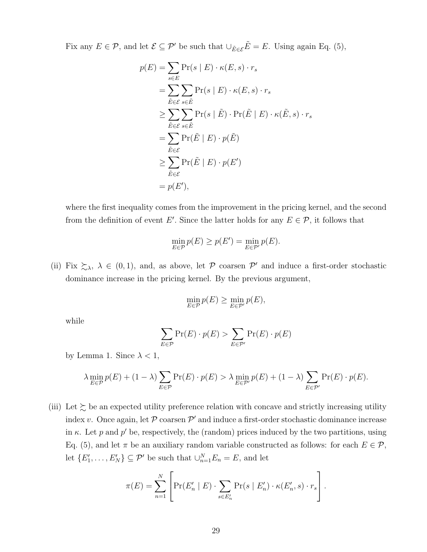Fix any  $E \in \mathcal{P}$ , and let  $\mathcal{E} \subseteq \mathcal{P}'$  be such that  $\cup_{\tilde{E} \in \mathcal{E}} \tilde{E} = E$ . Using again Eq. (5),

$$
p(E) = \sum_{s \in E} \Pr(s | E) \cdot \kappa(E, s) \cdot r_s
$$
  
= 
$$
\sum_{\tilde{E} \in \mathcal{E}} \sum_{s \in \tilde{E}} \Pr(s | E) \cdot \kappa(E, s) \cdot r_s
$$
  

$$
\geq \sum_{\tilde{E} \in \mathcal{E}} \sum_{s \in \tilde{E}} \Pr(s | \tilde{E}) \cdot \Pr(\tilde{E} | E) \cdot \kappa(\tilde{E}, s) \cdot r_s
$$
  
= 
$$
\sum_{\tilde{E} \in \mathcal{E}} \Pr(\tilde{E} | E) \cdot p(\tilde{E})
$$
  

$$
\geq \sum_{\tilde{E} \in \mathcal{E}} \Pr(\tilde{E} | E) \cdot p(E')
$$
  
= 
$$
p(E'),
$$

where the first inequality comes from the improvement in the pricing kernel, and the second from the definition of event E'. Since the latter holds for any  $E \in \mathcal{P}$ , it follows that

$$
\min_{E \in \mathcal{P}} p(E) \ge p(E') = \min_{E \in \mathcal{P}'} p(E).
$$

(ii) Fix  $\xi_{\lambda}$ ,  $\lambda \in (0,1)$ , and, as above, let P coarsen P' and induce a first-order stochastic dominance increase in the pricing kernel. By the previous argument,

$$
\min_{E \in \mathcal{P}} p(E) \ge \min_{E \in \mathcal{P}'} p(E),
$$

while

$$
\sum_{E \in \mathcal{P}} \Pr(E) \cdot p(E) > \sum_{E \in \mathcal{P}'} \Pr(E) \cdot p(E)
$$

by Lemma 1. Since  $\lambda < 1$ ,

$$
\lambda \min_{E \in \mathcal{P}} p(E) + (1 - \lambda) \sum_{E \in \mathcal{P}} \Pr(E) \cdot p(E) > \lambda \min_{E \in \mathcal{P}'} p(E) + (1 - \lambda) \sum_{E \in \mathcal{P}'} \Pr(E) \cdot p(E).
$$

(iii) Let  $\succsim$  be an expected utility preference relation with concave and strictly increasing utility index v. Once again, let  $P$  coarsen  $P'$  and induce a first-order stochastic dominance increase in  $\kappa$ . Let p and p' be, respectively, the (random) prices induced by the two partitions, using Eq. (5), and let  $\pi$  be an auxiliary random variable constructed as follows: for each  $E \in \mathcal{P}$ , let  $\{E'_1, \ldots, E'_N\} \subseteq \mathcal{P}'$  be such that  $\cup_{n=1}^N E_n = E$ , and let

$$
\pi(E) = \sum_{n=1}^{N} \left[ \Pr(E'_n \mid E) \cdot \sum_{s \in E'_n} \Pr(s \mid E'_n) \cdot \kappa(E'_n, s) \cdot r_s \right].
$$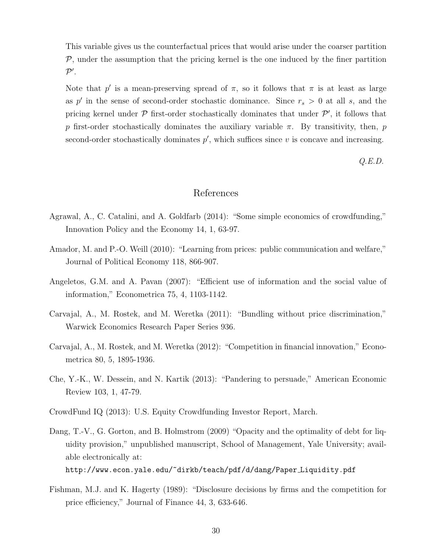This variable gives us the counterfactual prices that would arise under the coarser partition  $P$ , under the assumption that the pricing kernel is the one induced by the finer partition  $\mathcal{P}^\prime$  .

Note that p' is a mean-preserving spread of  $\pi$ , so it follows that  $\pi$  is at least as large as p' in the sense of second-order stochastic dominance. Since  $r_s > 0$  at all s, and the pricing kernel under  $P$  first-order stochastically dominates that under  $P'$ , it follows that p first-order stochastically dominates the auxiliary variable  $\pi$ . By transitivity, then, p second-order stochastically dominates  $p'$ , which suffices since  $v$  is concave and increasing.

Q.E.D.

# References

- Agrawal, A., C. Catalini, and A. Goldfarb (2014): "Some simple economics of crowdfunding," Innovation Policy and the Economy 14, 1, 63-97.
- Amador, M. and P.-O. Weill (2010): "Learning from prices: public communication and welfare," Journal of Political Economy 118, 866-907.
- Angeletos, G.M. and A. Pavan (2007): "Efficient use of information and the social value of information," Econometrica 75, 4, 1103-1142.
- Carvajal, A., M. Rostek, and M. Weretka (2011): "Bundling without price discrimination," Warwick Economics Research Paper Series 936.
- Carvajal, A., M. Rostek, and M. Weretka (2012): "Competition in financial innovation," Econometrica 80, 5, 1895-1936.
- Che, Y.-K., W. Dessein, and N. Kartik (2013): "Pandering to persuade," American Economic Review 103, 1, 47-79.
- CrowdFund IQ (2013): U.S. Equity Crowdfunding Investor Report, March.
- Dang, T.-V., G. Gorton, and B. Holmstrom (2009) "Opacity and the optimality of debt for liquidity provision," unpublished manuscript, School of Management, Yale University; available electronically at: http://www.econ.yale.edu/~dirkb/teach/pdf/d/dang/Paper Liquidity.pdf
- Fishman, M.J. and K. Hagerty (1989): "Disclosure decisions by firms and the competition for price efficiency," Journal of Finance 44, 3, 633-646.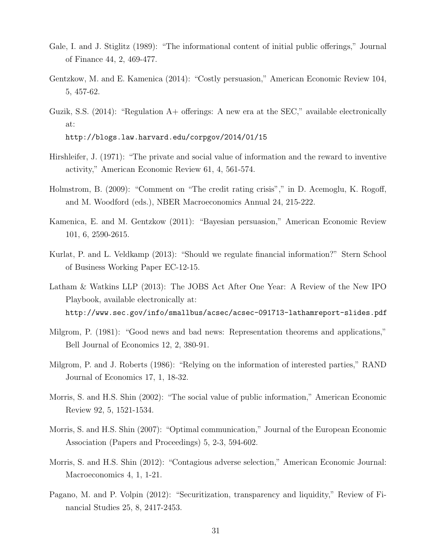- Gale, I. and J. Stiglitz (1989): "The informational content of initial public offerings," Journal of Finance 44, 2, 469-477.
- Gentzkow, M. and E. Kamenica (2014): "Costly persuasion," American Economic Review 104, 5, 457-62.
- Guzik, S.S. (2014): "Regulation A+ offerings: A new era at the SEC," available electronically at: http://blogs.law.harvard.edu/corpgov/2014/01/15

- Hirshleifer, J. (1971): "The private and social value of information and the reward to inventive activity," American Economic Review 61, 4, 561-574.
- Holmstrom, B. (2009): "Comment on "The credit rating crisis"," in D. Acemoglu, K. Rogoff, and M. Woodford (eds.), NBER Macroeconomics Annual 24, 215-222.
- Kamenica, E. and M. Gentzkow (2011): "Bayesian persuasion," American Economic Review 101, 6, 2590-2615.
- Kurlat, P. and L. Veldkamp (2013): "Should we regulate financial information?" Stern School of Business Working Paper EC-12-15.
- Latham & Watkins LLP (2013): The JOBS Act After One Year: A Review of the New IPO Playbook, available electronically at: http://www.sec.gov/info/smallbus/acsec/acsec-091713-lathamreport-slides.pdf
- Milgrom, P. (1981): "Good news and bad news: Representation theorems and applications," Bell Journal of Economics 12, 2, 380-91.
- Milgrom, P. and J. Roberts (1986): "Relying on the information of interested parties," RAND Journal of Economics 17, 1, 18-32.
- Morris, S. and H.S. Shin (2002): "The social value of public information," American Economic Review 92, 5, 1521-1534.
- Morris, S. and H.S. Shin (2007): "Optimal communication," Journal of the European Economic Association (Papers and Proceedings) 5, 2-3, 594-602.
- Morris, S. and H.S. Shin (2012): "Contagious adverse selection," American Economic Journal: Macroeconomics 4, 1, 1-21.
- Pagano, M. and P. Volpin (2012): "Securitization, transparency and liquidity," Review of Financial Studies 25, 8, 2417-2453.